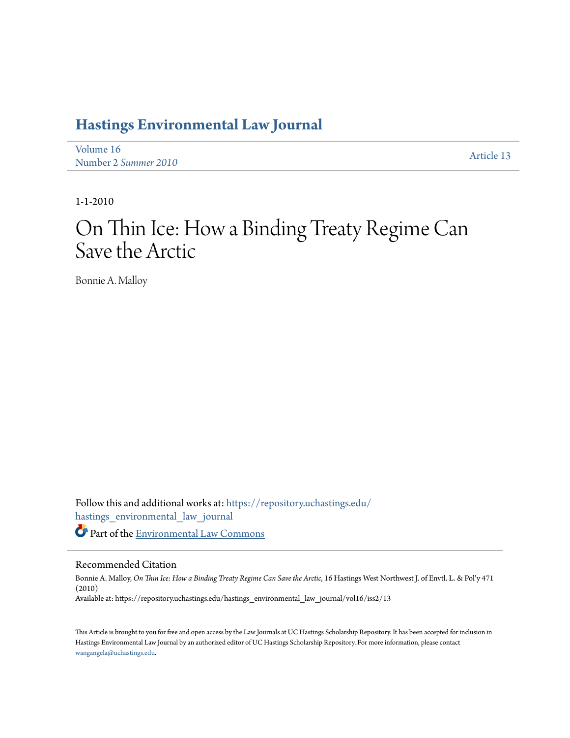# **[Hastings Environmental Law Journal](https://repository.uchastings.edu/hastings_environmental_law_journal?utm_source=repository.uchastings.edu%2Fhastings_environmental_law_journal%2Fvol16%2Fiss2%2F13&utm_medium=PDF&utm_campaign=PDFCoverPages)**

[Volume 16](https://repository.uchastings.edu/hastings_environmental_law_journal/vol16?utm_source=repository.uchastings.edu%2Fhastings_environmental_law_journal%2Fvol16%2Fiss2%2F13&utm_medium=PDF&utm_campaign=PDFCoverPages) Number 2 *[Summer 2010](https://repository.uchastings.edu/hastings_environmental_law_journal/vol16/iss2?utm_source=repository.uchastings.edu%2Fhastings_environmental_law_journal%2Fvol16%2Fiss2%2F13&utm_medium=PDF&utm_campaign=PDFCoverPages)* [Article 13](https://repository.uchastings.edu/hastings_environmental_law_journal/vol16/iss2/13?utm_source=repository.uchastings.edu%2Fhastings_environmental_law_journal%2Fvol16%2Fiss2%2F13&utm_medium=PDF&utm_campaign=PDFCoverPages)

1-1-2010

# On Thin Ice: How a Binding Treaty Regime Can Save the Arctic

Bonnie A. Malloy

Follow this and additional works at: [https://repository.uchastings.edu/](https://repository.uchastings.edu/hastings_environmental_law_journal?utm_source=repository.uchastings.edu%2Fhastings_environmental_law_journal%2Fvol16%2Fiss2%2F13&utm_medium=PDF&utm_campaign=PDFCoverPages) [hastings\\_environmental\\_law\\_journal](https://repository.uchastings.edu/hastings_environmental_law_journal?utm_source=repository.uchastings.edu%2Fhastings_environmental_law_journal%2Fvol16%2Fiss2%2F13&utm_medium=PDF&utm_campaign=PDFCoverPages) Part of the [Environmental Law Commons](http://network.bepress.com/hgg/discipline/599?utm_source=repository.uchastings.edu%2Fhastings_environmental_law_journal%2Fvol16%2Fiss2%2F13&utm_medium=PDF&utm_campaign=PDFCoverPages)

# Recommended Citation

Bonnie A. Malloy, *On Thin Ice: How a Binding Treaty Regime Can Save the Arctic*, 16 Hastings West Northwest J. of Envtl. L. & Pol'y 471 (2010) Available at: https://repository.uchastings.edu/hastings\_environmental\_law\_journal/vol16/iss2/13

This Article is brought to you for free and open access by the Law Journals at UC Hastings Scholarship Repository. It has been accepted for inclusion in Hastings Environmental Law Journal by an authorized editor of UC Hastings Scholarship Repository. For more information, please contact [wangangela@uchastings.edu](mailto:wangangela@uchastings.edu).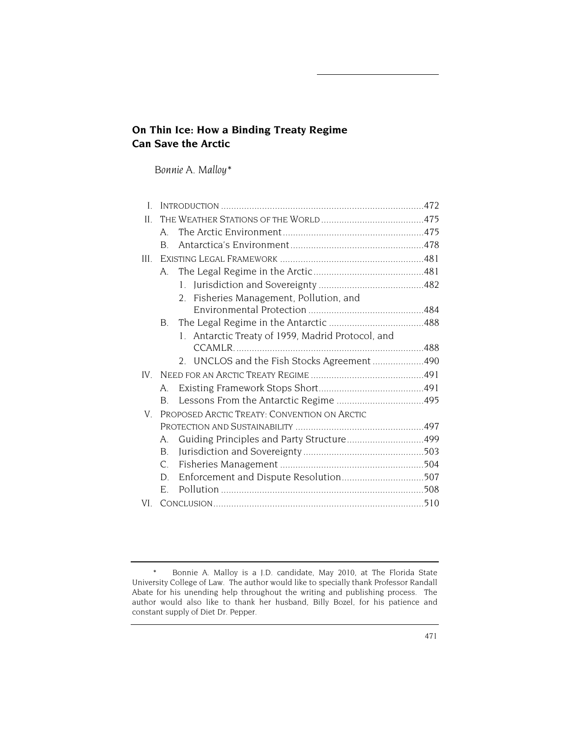# **On Thin Ice: How a Binding Treaty Regime Can Save the Arctic**

*Bonnie A. Malloy\** 

| L    |                                              |                                                       |  |
|------|----------------------------------------------|-------------------------------------------------------|--|
| II.  |                                              |                                                       |  |
|      | A                                            |                                                       |  |
|      | B.                                           |                                                       |  |
| III  |                                              |                                                       |  |
|      | A                                            |                                                       |  |
|      |                                              | $1 \quad$                                             |  |
|      |                                              | Fisheries Management, Pollution, and<br>$\mathcal{P}$ |  |
|      |                                              |                                                       |  |
|      | B <sub>1</sub>                               |                                                       |  |
|      |                                              | 1. Antarctic Treaty of 1959, Madrid Protocol, and     |  |
|      |                                              |                                                       |  |
|      |                                              | 2. UNCLOS and the Fish Stocks Agreement 490           |  |
| IV - |                                              |                                                       |  |
|      | A                                            |                                                       |  |
|      | B.                                           |                                                       |  |
| V.   | PROPOSED ARCTIC TREATY: CONVENTION ON ARCTIC |                                                       |  |
|      |                                              |                                                       |  |
|      | A.                                           |                                                       |  |
|      | <b>B</b> .                                   |                                                       |  |
|      | $C_{\cdot}$                                  |                                                       |  |
|      | D.                                           |                                                       |  |
|      | Е.                                           |                                                       |  |
| VI   |                                              |                                                       |  |

<sup>\*</sup> Bonnie A. Malloy is a J.D. candidate, May 2010, at The Florida State University College of Law. The author would like to specially thank Professor Randall Abate for his unending help throughout the writing and publishing process. The author would also like to thank her husband, Billy Bozel, for his patience and constant supply of Diet Dr. Pepper.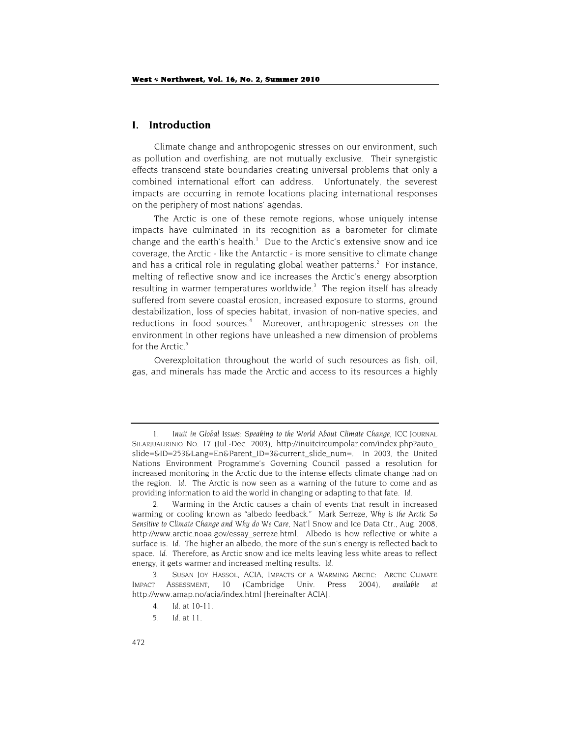# **I. Introduction**

Climate change and anthropogenic stresses on our environment, such as pollution and overfishing, are not mutually exclusive. Their synergistic effects transcend state boundaries creating universal problems that only a combined international effort can address. Unfortunately, the severest impacts are occurring in remote locations placing international responses on the periphery of most nations' agendas.

The Arctic is one of these remote regions, whose uniquely intense impacts have culminated in its recognition as a barometer for climate change and the earth's health.<sup>1</sup> Due to the Arctic's extensive snow and ice coverage, the Arctic - like the Antarctic - is more sensitive to climate change and has a critical role in regulating global weather patterns.<sup>2</sup> For instance, melting of reflective snow and ice increases the Arctic's energy absorption resulting in warmer temperatures worldwide. $3$  The region itself has already suffered from severe coastal erosion, increased exposure to storms, ground destabilization, loss of species habitat, invasion of non-native species, and reductions in food sources.<sup>4</sup> Moreover, anthropogenic stresses on the environment in other regions have unleashed a new dimension of problems for the Arctic.<sup>5</sup>

Overexploitation throughout the world of such resources as fish, oil, gas, and minerals has made the Arctic and access to its resources a highly

<sup>1</sup>*. Inuit in Global Issues: Speaking to the World About Climate Change*, ICC JOURNAL SILARJUALIRINIQ NO. 17 (Jul.-Dec. 2003), http://inuitcircumpolar.com/index.php?auto\_ slide=&ID=253&Lang=En&Parent\_ID=3&current\_slide\_num=. In 2003, the United Nations Environment Programme's Governing Council passed a resolution for increased monitoring in the Arctic due to the intense effects climate change had on the region. *Id.* The Arctic is now seen as a warning of the future to come and as providing information to aid the world in changing or adapting to that fate. *Id.*

<sup>2.</sup> Warming in the Arctic causes a chain of events that result in increased warming or cooling known as "albedo feedback." Mark Serreze, *Why is the Arctic So Sensitive to Climate Change and Why do We Care*, Nat'l Snow and Ice Data Ctr., Aug. 2008, http://www.arctic.noaa.gov/essay\_serreze.html. Albedo is how reflective or white a surface is. *Id.* The higher an albedo, the more of the sun's energy is reflected back to space. *Id.* Therefore, as Arctic snow and ice melts leaving less white areas to reflect energy, it gets warmer and increased melting results. *Id.*

<sup>3.</sup> SUSAN JOY HASSOL, ACIA, IMPACTS OF A WARMING ARCTIC: ARCTIC CLIMATE IMPACT ASSESSMENT, 10 (Cambridge Univ. Press 2004), *available at* http://www.amap.no/acia/index.html [hereinafter ACIA].

<sup>4</sup>*. Id.* at 10-11.

<sup>5</sup>*. Id.* at 11.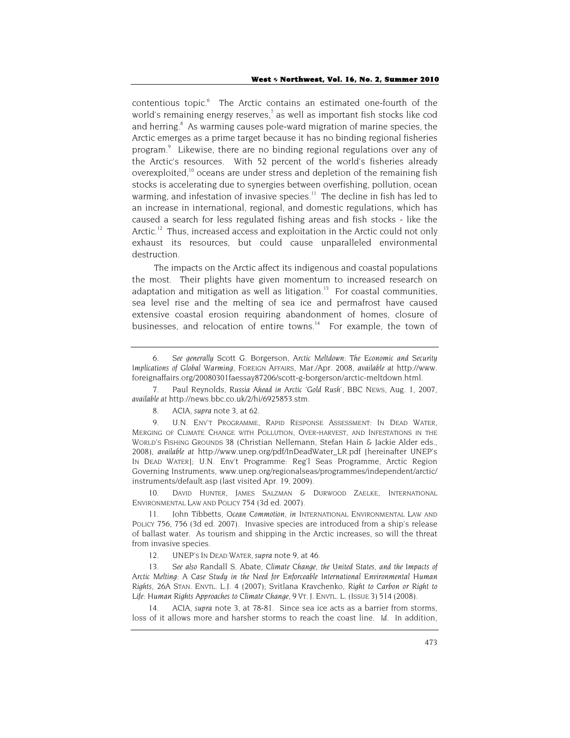contentious topic.<sup>6</sup> The Arctic contains an estimated one-fourth of the world's remaining energy reserves,<sup>7</sup> as well as important fish stocks like cod and herring.<sup>8</sup> As warming causes pole-ward migration of marine species, the Arctic emerges as a prime target because it has no binding regional fisheries program.9 Likewise, there are no binding regional regulations over any of the Arctic's resources. With 52 percent of the world's fisheries already overexploited,<sup>10</sup> oceans are under stress and depletion of the remaining fish stocks is accelerating due to synergies between overfishing, pollution, ocean warming, and infestation of invasive species.<sup>11</sup> The decline in fish has led to an increase in international, regional, and domestic regulations, which has caused a search for less regulated fishing areas and fish stocks - like the Arctic.<sup>12</sup> Thus, increased access and exploitation in the Arctic could not only exhaust its resources, but could cause unparalleled environmental destruction.

The impacts on the Arctic affect its indigenous and coastal populations the most. Their plights have given momentum to increased research on adaptation and mitigation as well as litigation. $13$  For coastal communities, sea level rise and the melting of sea ice and permafrost have caused extensive coastal erosion requiring abandonment of homes, closure of businesses, and relocation of entire towns.<sup>14</sup> For example, the town of

<sup>6</sup>*. See generally* Scott G. Borgerson, *Arctic Meltdown: The Economic and Security Implications of Global Warming*, FOREIGN AFFAIRS, Mar./Apr. 2008, *available at* http://www. foreignaffairs.org/20080301faessay87206/scott-g-borgerson/arctic-meltdown.html.

<sup>7.</sup> Paul Reynolds, *Russia Ahead in Arctic 'Gold Rush'*, BBC NEWS, Aug. 1, 2007, *available at* http://news.bbc.co.uk/2/hi/6925853.stm.

<sup>8.</sup> ACIA, *supra* note 3, at 62.

<sup>9.</sup> U.N. ENV'T PROGRAMME, RAPID RESPONSE ASSESSMENT: IN DEAD WATER, MERGING OF CLIMATE CHANGE WITH POLLUTION, OVER-HARVEST, AND INFESTATIONS IN THE WORLD'S FISHING GROUNDS 38 (Christian Nellemann, Stefan Hain & Jackie Alder eds., 2008), *available at* http://www.unep.org/pdf/InDeadWater\_LR.pdf [hereinafter UNEP's IN DEAD WATER]; U.N. Env't Programme: Reg'l Seas Programme, Arctic Region Governing Instruments, www.unep.org/regionalseas/programmes/independent/arctic/ instruments/default.asp (last visited Apr. 19, 2009).

<sup>10.</sup> DAVID HUNTER, JAMES SALZMAN & DURWOOD ZAELKE, INTERNATIONAL ENVIRONMENTAL LAW AND POLICY 754 (3d ed. 2007).

<sup>11.</sup> John Tibbetts, *Ocean Commotion*, *in* INTERNATIONAL ENVIRONMENTAL LAW AND POLICY 756, 756 (3d ed. 2007). Invasive species are introduced from a ship's release of ballast water. As tourism and shipping in the Arctic increases, so will the threat from invasive species.

<sup>12.</sup> UNEP'S IN DEAD WATER, *supra* note 9, at 46.

<sup>13</sup>*. See also* Randall S. Abate, *Climate Change, the United States, and the Impacts of Arctic Melting: A Case Study in the Need for Enforceable International Environmental Human Rights*, 26A STAN. ENVTL. L.J. 4 (2007); Svitlana Kravchenko, *Right to Carbon or Right to Life: Human Rights Approaches to Climate Change*, 9 VT. J. ENVTL. L. (ISSUE 3) 514 (2008).

<sup>14.</sup> ACIA, *supra* note 3, at 78-81. Since sea ice acts as a barrier from storms, loss of it allows more and harsher storms to reach the coast line. *Id.* In addition,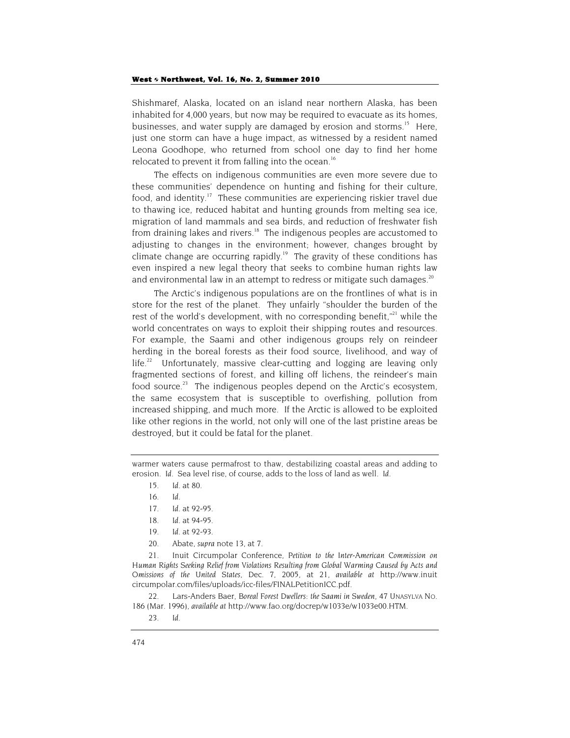Shishmaref, Alaska, located on an island near northern Alaska, has been inhabited for 4,000 years, but now may be required to evacuate as its homes, businesses, and water supply are damaged by erosion and storms.<sup>15</sup> Here, just one storm can have a huge impact, as witnessed by a resident named Leona Goodhope, who returned from school one day to find her home relocated to prevent it from falling into the ocean.<sup>16</sup>

The effects on indigenous communities are even more severe due to these communities' dependence on hunting and fishing for their culture, food, and identity.<sup>17</sup> These communities are experiencing riskier travel due to thawing ice, reduced habitat and hunting grounds from melting sea ice, migration of land mammals and sea birds, and reduction of freshwater fish from draining lakes and rivers.<sup>18</sup> The indigenous peoples are accustomed to adjusting to changes in the environment; however, changes brought by climate change are occurring rapidly.<sup>19</sup> The gravity of these conditions has even inspired a new legal theory that seeks to combine human rights law and environmental law in an attempt to redress or mitigate such damages.<sup>20</sup>

The Arctic's indigenous populations are on the frontlines of what is in store for the rest of the planet. They unfairly "shoulder the burden of the rest of the world's development, with no corresponding benefit,"<sup>21</sup> while the world concentrates on ways to exploit their shipping routes and resources. For example, the Saami and other indigenous groups rely on reindeer herding in the boreal forests as their food source, livelihood, and way of  $l$ life.<sup>22</sup> Unfortunately, massive clear-cutting and logging are leaving only fragmented sections of forest, and killing off lichens, the reindeer's main food source.<sup>23</sup> The indigenous peoples depend on the Arctic's ecosystem, the same ecosystem that is susceptible to overfishing, pollution from increased shipping, and much more. If the Arctic is allowed to be exploited like other regions in the world, not only will one of the last pristine areas be destroyed, but it could be fatal for the planet.

- 15*. Id.* at 80.
- 16*. Id.*
- 17*. Id.* at 92-95.
- 18*. Id.* at 94-95.
- 19*. Id.* at 92-93.
- 20. Abate, *supra* note 13, at 7.

21. Inuit Circumpolar Conference, *Petition to the Inter-American Commission on Human Rights Seeking Relief from Violations Resulting from Global Warming Caused by Acts and Omissions of the United States*, Dec. 7, 2005, at 21, *available at* http://www.inuit circumpolar.com/files/uploads/icc-files/FINALPetitionICC.pdf.

22. Lars-Anders Baer, *Boreal Forest Dwellers: the Saami in Sweden*, 47 UNASYLVA NO. 186 (Mar. 1996), *available at* http://www.fao.org/docrep/w1033e/w1033e00.HTM.

warmer waters cause permafrost to thaw, destabilizing coastal areas and adding to erosion. *Id.* Sea level rise, of course, adds to the loss of land as well. *Id.* 

<sup>23</sup>*. Id.*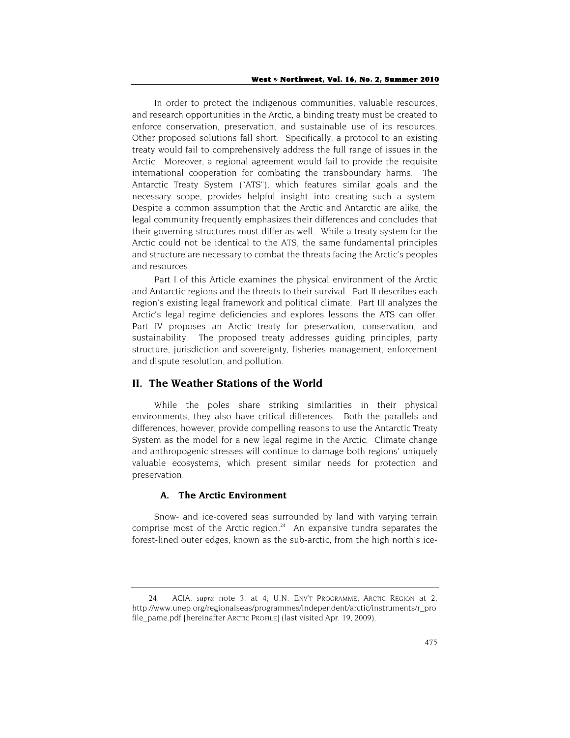In order to protect the indigenous communities, valuable resources, and research opportunities in the Arctic, a binding treaty must be created to enforce conservation, preservation, and sustainable use of its resources. Other proposed solutions fall short. Specifically, a protocol to an existing treaty would fail to comprehensively address the full range of issues in the Arctic. Moreover, a regional agreement would fail to provide the requisite international cooperation for combating the transboundary harms. The Antarctic Treaty System ("ATS"), which features similar goals and the necessary scope, provides helpful insight into creating such a system. Despite a common assumption that the Arctic and Antarctic are alike, the legal community frequently emphasizes their differences and concludes that their governing structures must differ as well. While a treaty system for the Arctic could not be identical to the ATS, the same fundamental principles and structure are necessary to combat the threats facing the Arctic's peoples and resources.

Part I of this Article examines the physical environment of the Arctic and Antarctic regions and the threats to their survival. Part II describes each region's existing legal framework and political climate. Part III analyzes the Arctic's legal regime deficiencies and explores lessons the ATS can offer. Part IV proposes an Arctic treaty for preservation, conservation, and sustainability. The proposed treaty addresses guiding principles, party structure, jurisdiction and sovereignty, fisheries management, enforcement and dispute resolution, and pollution.

# **II. The Weather Stations of the World**

While the poles share striking similarities in their physical environments, they also have critical differences. Both the parallels and differences, however, provide compelling reasons to use the Antarctic Treaty System as the model for a new legal regime in the Arctic. Climate change and anthropogenic stresses will continue to damage both regions' uniquely valuable ecosystems, which present similar needs for protection and preservation.

# **A. The Arctic Environment**

Snow- and ice-covered seas surrounded by land with varying terrain comprise most of the Arctic region.<sup>24</sup> An expansive tundra separates the forest-lined outer edges, known as the sub-arctic, from the high north's ice-

<sup>24.</sup> ACIA, *supra* note 3, at 4; U.N. ENV'T PROGRAMME, ARCTIC REGION at 2, http://www.unep.org/regionalseas/programmes/independent/arctic/instruments/r\_pro file\_pame.pdf [hereinafter ARCTIC PROFILE] (last visited Apr. 19, 2009).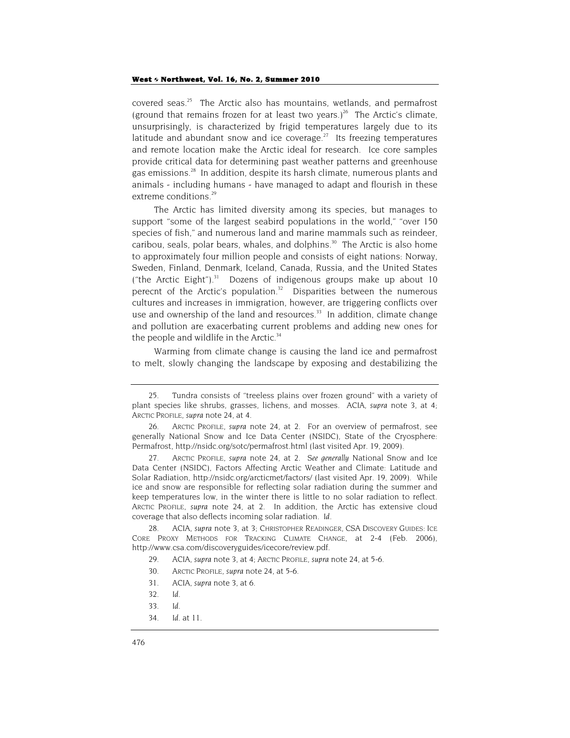covered seas.<sup>25</sup> The Arctic also has mountains, wetlands, and permafrost (ground that remains frozen for at least two years.)<sup>26</sup> The Arctic's climate, unsurprisingly, is characterized by frigid temperatures largely due to its latitude and abundant snow and ice coverage. $^{27}$  Its freezing temperatures and remote location make the Arctic ideal for research. Ice core samples provide critical data for determining past weather patterns and greenhouse gas emissions.<sup>28</sup> In addition, despite its harsh climate, numerous plants and animals - including humans - have managed to adapt and flourish in these extreme conditions.<sup>29</sup>

The Arctic has limited diversity among its species, but manages to support "some of the largest seabird populations in the world," "over 150 species of fish," and numerous land and marine mammals such as reindeer, caribou, seals, polar bears, whales, and dolphins.<sup>30</sup> The Arctic is also home to approximately four million people and consists of eight nations: Norway, Sweden, Finland, Denmark, Iceland, Canada, Russia, and the United States ("the Arctic Eight"). $31$  Dozens of indigenous groups make up about 10 perecnt of the Arctic's population.<sup>32</sup> Disparities between the numerous cultures and increases in immigration, however, are triggering conflicts over use and ownership of the land and resources.<sup>33</sup> In addition, climate change and pollution are exacerbating current problems and adding new ones for the people and wildlife in the Arctic.<sup>34</sup>

Warming from climate change is causing the land ice and permafrost to melt, slowly changing the landscape by exposing and destabilizing the

- 30. ARCTIC PROFILE, *supra* note 24, at 5-6.
- 31. ACIA, *supra* note 3, at 6.

34*. Id.* at 11.

<sup>25.</sup> Tundra consists of "treeless plains over frozen ground" with a variety of plant species like shrubs, grasses, lichens, and mosses. ACIA, *supra* note 3, at 4; ARCTIC PROFILE, *supra* note 24, at 4.

<sup>26.</sup> ARCTIC PROFILE, *supra* note 24, at 2. For an overview of permafrost, see generally National Snow and Ice Data Center (NSIDC), State of the Cryosphere: Permafrost, http://nsidc.org/sotc/permafrost.html (last visited Apr. 19, 2009).

<sup>27.</sup> ARCTIC PROFILE, *supra* note 24, at 2. *See generally* National Snow and Ice Data Center (NSIDC), Factors Affecting Arctic Weather and Climate: Latitude and Solar Radiation, http://nsidc.org/arcticmet/factors/ (last visited Apr. 19, 2009). While ice and snow are responsible for reflecting solar radiation during the summer and keep temperatures low, in the winter there is little to no solar radiation to reflect. ARCTIC PROFILE, *supra* note 24, at 2. In addition, the Arctic has extensive cloud coverage that also deflects incoming solar radiation. *Id.*

<sup>28.</sup> ACIA, *supra* note 3, at 3; CHRISTOPHER READINGER, CSA DISCOVERY GUIDES: ICE CORE PROXY METHODS FOR TRACKING CLIMATE CHANGE, at 2-4 (Feb. 2006), http://www.csa.com/discoveryguides/icecore/review.pdf.

<sup>29.</sup> ACIA, *supra* note 3, at 4; ARCTIC PROFILE, *supra* note 24, at 5-6.

<sup>32</sup>*. Id.*

<sup>33</sup>*. Id.*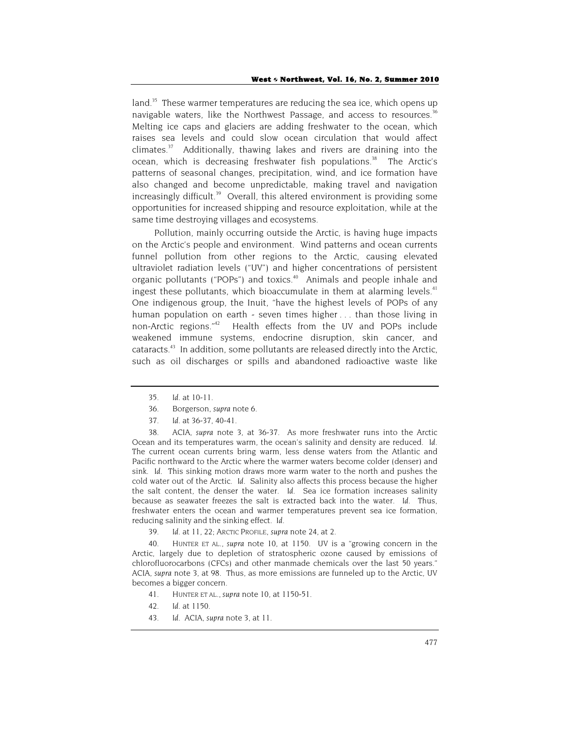land.<sup>35</sup> These warmer temperatures are reducing the sea ice, which opens up navigable waters, like the Northwest Passage, and access to resources.<sup>36</sup> Melting ice caps and glaciers are adding freshwater to the ocean, which raises sea levels and could slow ocean circulation that would affect  $\mu$ climates. $37$  Additionally, thawing lakes and rivers are draining into the ocean, which is decreasing freshwater fish populations.<sup>38</sup> The Arctic's patterns of seasonal changes, precipitation, wind, and ice formation have also changed and become unpredictable, making travel and navigation increasingly difficult.<sup>39</sup> Overall, this altered environment is providing some opportunities for increased shipping and resource exploitation, while at the same time destroying villages and ecosystems.

Pollution, mainly occurring outside the Arctic, is having huge impacts on the Arctic's people and environment. Wind patterns and ocean currents funnel pollution from other regions to the Arctic, causing elevated ultraviolet radiation levels ("UV") and higher concentrations of persistent organic pollutants ("POPs") and toxics.<sup>40</sup> Animals and people inhale and ingest these pollutants, which bioaccumulate in them at alarming levels.<sup>41</sup> One indigenous group, the Inuit, "have the highest levels of POPs of any human population on earth - seven times higher ... than those living in non-Arctic regions."<sup>42</sup> Health effects from the UV and POPs include weakened immune systems, endocrine disruption, skin cancer, and cataracts.<sup>43</sup> In addition, some pollutants are released directly into the Arctic, such as oil discharges or spills and abandoned radioactive waste like

- 36. Borgerson, *supra* note 6.
- 37*. Id.* at 36-37, 40-41.

38. ACIA, *supra* note 3, at 36-37. As more freshwater runs into the Arctic Ocean and its temperatures warm, the ocean's salinity and density are reduced. *Id.*  The current ocean currents bring warm, less dense waters from the Atlantic and Pacific northward to the Arctic where the warmer waters become colder (denser) and sink. *Id.* This sinking motion draws more warm water to the north and pushes the cold water out of the Arctic. *Id.* Salinity also affects this process because the higher the salt content, the denser the water. *Id.* Sea ice formation increases salinity because as seawater freezes the salt is extracted back into the water. *Id.* Thus, freshwater enters the ocean and warmer temperatures prevent sea ice formation, reducing salinity and the sinking effect. *Id.* 

39*. Id.* at 11, 22; ARCTIC PROFILE, *supra* note 24, at 2.

40. HUNTER ET AL., *supra* note 10, at 1150. UV is a "growing concern in the Arctic, largely due to depletion of stratospheric ozone caused by emissions of chlorofluorocarbons (CFCs) and other manmade chemicals over the last 50 years." ACIA, *supra* note 3, at 98. Thus, as more emissions are funneled up to the Arctic, UV becomes a bigger concern.

- 41. HUNTER ET AL., *supra* note 10, at 1150-51.
- 42*. Id.* at 1150.
- 43*. Id.* ACIA, *supra* note 3, at 11.

<sup>35</sup>*. Id.* at 10-11.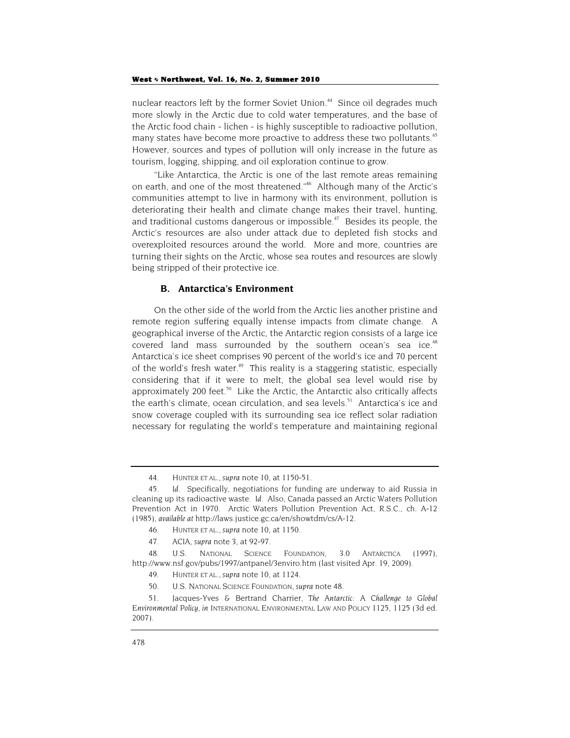nuclear reactors left by the former Soviet Union.<sup>44</sup> Since oil degrades much more slowly in the Arctic due to cold water temperatures, and the base of the Arctic food chain - lichen - is highly susceptible to radioactive pollution, many states have become more proactive to address these two pollutants.<sup>45</sup> However, sources and types of pollution will only increase in the future as tourism, logging, shipping, and oil exploration continue to grow.

"Like Antarctica, the Arctic is one of the last remote areas remaining on earth, and one of the most threatened."46 Although many of the Arctic's communities attempt to live in harmony with its environment, pollution is deteriorating their health and climate change makes their travel, hunting, and traditional customs dangerous or impossible.<sup>47</sup> Besides its people, the Arctic's resources are also under attack due to depleted fish stocks and overexploited resources around the world. More and more, countries are turning their sights on the Arctic, whose sea routes and resources are slowly being stripped of their protective ice.

# **B. Antarctica's Environment**

On the other side of the world from the Arctic lies another pristine and remote region suffering equally intense impacts from climate change. A geographical inverse of the Arctic, the Antarctic region consists of a large ice covered land mass surrounded by the southern ocean's sea ice.<sup>48</sup> Antarctica's ice sheet comprises 90 percent of the world's ice and 70 percent of the world's fresh water.<sup>49</sup> This reality is a staggering statistic, especially considering that if it were to melt, the global sea level would rise by approximately 200 feet.<sup>50</sup> Like the Arctic, the Antarctic also critically affects the earth's climate, ocean circulation, and sea levels.<sup>51</sup> Antarctica's ice and snow coverage coupled with its surrounding sea ice reflect solar radiation necessary for regulating the world's temperature and maintaining regional

<sup>44.</sup> HUNTER ET AL., *supra* note 10, at 1150-51.

<sup>45</sup>*. Id.* Specifically, negotiations for funding are underway to aid Russia in cleaning up its radioactive waste. *Id.* Also, Canada passed an Arctic Waters Pollution Prevention Act in 1970. Arctic Waters Pollution Prevention Act, R.S.C., ch. A-12 (1985), *available at* http://laws.justice.gc.ca/en/showtdm/cs/A-12.

<sup>46.</sup> HUNTER ET AL., *supra* note 10, at 1150.

<sup>47.</sup> ACIA, *supra* note 3, at 92-97.

 <sup>48.</sup> U.S. NATIONAL SCIENCE FOUNDATION, 3.0 ANTARCTICA (1997), http://www.nsf.gov/pubs/1997/antpanel/3enviro.htm (last visited Apr. 19, 2009).

<sup>49.</sup> HUNTER ET AL., *supra* note 10, at 1124.

<sup>50.</sup> U.S. NATIONAL SCIENCE FOUNDATION, *supra* note 48.

<sup>51.</sup> Jacques-Yves & Bertrand Charrier, *The Antarctic: A Challenge to Global Environmental Policy*, *in* INTERNATIONAL ENVIRONMENTAL LAW AND POLICY 1125, 1125 (3d ed. 2007).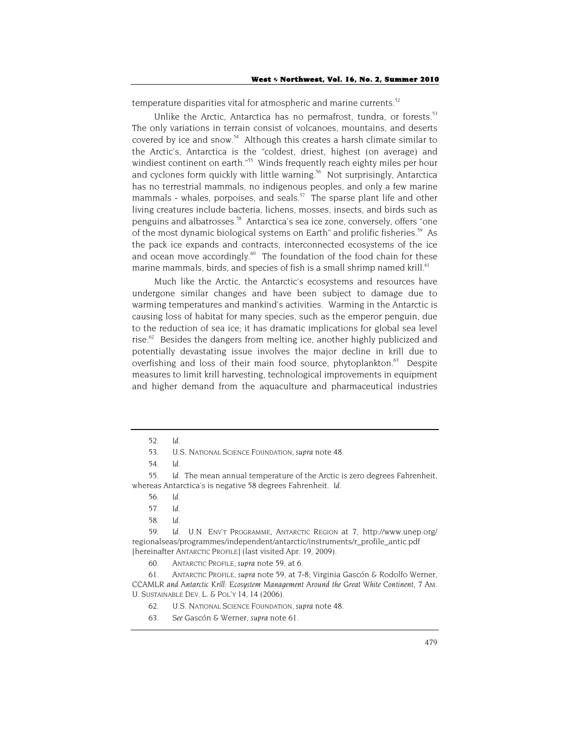temperature disparities vital for atmospheric and marine currents.<sup>52</sup>

Unlike the Arctic, Antarctica has no permafrost, tundra, or forests.<sup>53</sup> The only variations in terrain consist of volcanoes, mountains, and deserts covered by ice and snow.<sup>54</sup> Although this creates a harsh climate similar to the Arctic's, Antarctica is the "coldest, driest, highest (on average) and windiest continent on earth."<sup>55</sup> Winds frequently reach eighty miles per hour and cyclones form quickly with little warning.<sup>56</sup> Not surprisingly, Antarctica has no terrestrial mammals, no indigenous peoples, and only a few marine mammals - whales, porpoises, and seals.<sup>57</sup> The sparse plant life and other living creatures include bacteria, lichens, mosses, insects, and birds such as penguins and albatrosses.<sup>58</sup> Antarctica's sea ice zone, conversely, offers "one of the most dynamic biological systems on Earth" and prolific fisheries.<sup>59</sup> As the pack ice expands and contracts, interconnected ecosystems of the ice and ocean move accordingly.<sup>60</sup> The foundation of the food chain for these marine mammals, birds, and species of fish is a small shrimp named krill.<sup>61</sup>

Much like the Arctic, the Antarctic's ecosystems and resources have undergone similar changes and have been subject to damage due to warming temperatures and mankind's activities. Warming in the Antarctic is causing loss of habitat for many species, such as the emperor penguin, due to the reduction of sea ice; it has dramatic implications for global sea level rise. $62$  Besides the dangers from melting ice, another highly publicized and potentially devastating issue involves the major decline in krill due to overfishing and loss of their main food source, phytoplankton.<sup>63</sup> Despite measures to limit krill harvesting, technological improvements in equipment and higher demand from the aquaculture and pharmaceutical industries

<sup>52</sup>*. Id.*

<sup>53.</sup> U.S. NATIONAL SCIENCE FOUNDATION, *supra* note 48.

<sup>54</sup>*. Id.*

<sup>55</sup>*. Id.* The mean annual temperature of the Arctic is zero degrees Fahrenheit, whereas Antarctica's is negative 58 degrees Fahrenheit. *Id.*

<sup>56</sup>*. Id.*

<sup>57</sup>*. Id.*

<sup>58</sup>*. Id.*

<sup>59</sup>*. Id.* U.N. ENV'T PROGRAMME, ANTARCTIC REGION at 7, http://www.unep.org/ regionalseas/programmes/independent/antarctic/instruments/r\_profile\_antic.pdf [hereinafter ANTARCTIC PROFILE] (last visited Apr. 19, 2009).

<sup>60.</sup> ANTARCTIC PROFILE, *supra* note 59, at 6.

<sup>61.</sup> ANTARCTIC PROFILE, *supra* note 59, at 7-8; Virginia Gascón & Rodolfo Werner, *CCAMLR and Antarctic Krill: Ecosystem Management Around the Great White Continent*, 7 AM. U. SUSTAINABLE DEV. L. & POL'Y 14, 14 (2006).

<sup>62.</sup> U.S. NATIONAL SCIENCE FOUNDATION, *supra* note 48.

<sup>63</sup>*. See* Gascón & Werner, *supra* note 61.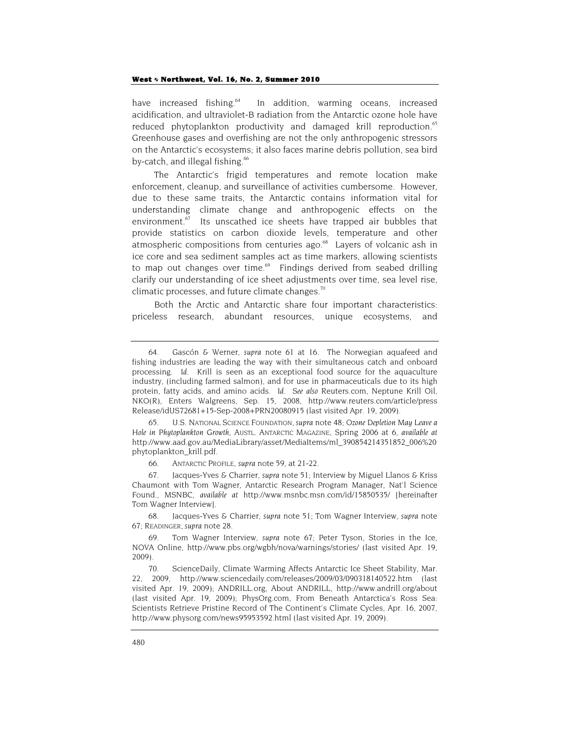have increased fishing.<sup>64</sup> In addition, warming oceans, increased acidification, and ultraviolet-B radiation from the Antarctic ozone hole have reduced phytoplankton productivity and damaged krill reproduction.<sup>65</sup> Greenhouse gases and overfishing are not the only anthropogenic stressors on the Antarctic's ecosystems; it also faces marine debris pollution, sea bird by-catch, and illegal fishing.<sup>66</sup>

The Antarctic's frigid temperatures and remote location make enforcement, cleanup, and surveillance of activities cumbersome. However, due to these same traits, the Antarctic contains information vital for understanding climate change and anthropogenic effects on the environment.<sup>67</sup> Its unscathed ice sheets have trapped air bubbles that provide statistics on carbon dioxide levels, temperature and other atmospheric compositions from centuries ago.<sup>68</sup> Layers of volcanic ash in ice core and sea sediment samples act as time markers, allowing scientists to map out changes over time.<sup>69</sup> Findings derived from seabed drilling clarify our understanding of ice sheet adjustments over time, sea level rise, climatic processes, and future climate changes. $70$ 

Both the Arctic and Antarctic share four important characteristics: priceless research, abundant resources, unique ecosystems, and

68. Jacques-Yves & Charrier, *supra* note 51; Tom Wagner Interview, *supra* note 67; READINGER, *supra* note 28.

<sup>64.</sup> Gascón & Werner, *supra* note 61 at 16. The Norwegian aquafeed and fishing industries are leading the way with their simultaneous catch and onboard processing. *Id.* Krill is seen as an exceptional food source for the aquaculture industry, (including farmed salmon), and for use in pharmaceuticals due to its high protein, fatty acids, and amino acids. *Id. See also* Reuters.com, Neptune Krill Oil, NKO(R), Enters Walgreens, Sep. 15, 2008, http://www.reuters.com/article/press Release/idUS72681+15-Sep-2008+PRN20080915 (last visited Apr. 19, 2009).

<sup>65.</sup> U.S. NATIONAL SCIENCE FOUNDATION, *supra* note 48; *Ozone Depletion May Leave a Hole in Phytoplankton Growth*, AUSTL. ANTARCTIC MAGAZINE, Spring 2006 at 6, *available at* http://www.aad.gov.au/MediaLibrary/asset/MediaItems/ml\_390854214351852\_006%20 phytoplankton\_krill.pdf.

<sup>66.</sup> ANTARCTIC PROFILE, *supra* note 59, at 21-22.

<sup>67.</sup> Jacques-Yves & Charrier, *supra* note 51; Interview by Miguel Llanos & Kriss Chaumont with Tom Wagner, Antarctic Research Program Manager, Nat'l Science Found., MSNBC, *available at* http://www.msnbc.msn.com/id/15850535/ [hereinafter Tom Wagner Interview].

<sup>69.</sup> Tom Wagner Interview, *supra* note 67; Peter Tyson, Stories in the Ice, NOVA Online, http://www.pbs.org/wgbh/nova/warnings/stories/ (last visited Apr. 19, 2009).

<sup>70.</sup> ScienceDaily, Climate Warming Affects Antarctic Ice Sheet Stability, Mar. 22, 2009, http://www.sciencedaily.com/releases/2009/03/090318140522.htm (last visited Apr. 19, 2009); ANDRILL.org, About ANDRILL, http://www.andrill.org/about (last visited Apr. 19, 2009); PhysOrg.com, From Beneath Antarctica's Ross Sea: Scientists Retrieve Pristine Record of The Continent's Climate Cycles, Apr. 16, 2007, http://www.physorg.com/news95953592.html (last visited Apr. 19, 2009).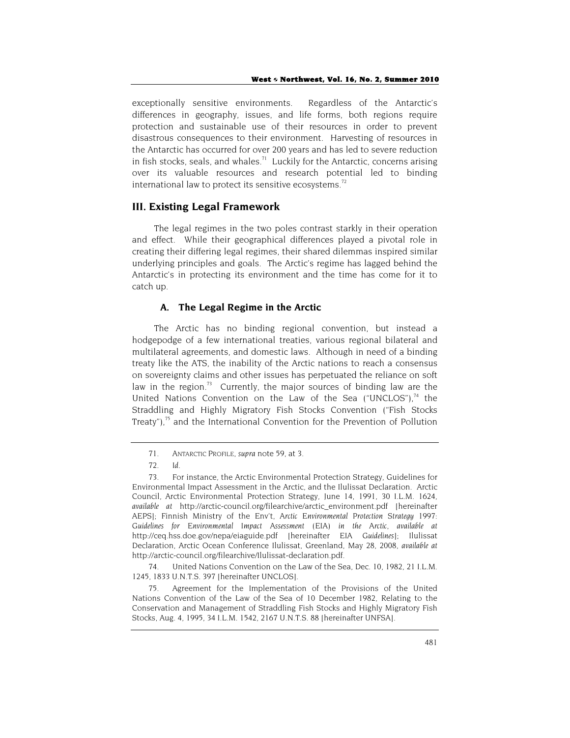exceptionally sensitive environments. Regardless of the Antarctic's differences in geography, issues, and life forms, both regions require protection and sustainable use of their resources in order to prevent disastrous consequences to their environment. Harvesting of resources in the Antarctic has occurred for over 200 years and has led to severe reduction in fish stocks, seals, and whales.<sup>71</sup> Luckily for the Antarctic, concerns arising over its valuable resources and research potential led to binding international law to protect its sensitive ecosystems.<sup>72</sup>

# **III. Existing Legal Framework**

The legal regimes in the two poles contrast starkly in their operation and effect. While their geographical differences played a pivotal role in creating their differing legal regimes, their shared dilemmas inspired similar underlying principles and goals. The Arctic's regime has lagged behind the Antarctic's in protecting its environment and the time has come for it to catch up.

# **A. The Legal Regime in the Arctic**

The Arctic has no binding regional convention, but instead a hodgepodge of a few international treaties, various regional bilateral and multilateral agreements, and domestic laws. Although in need of a binding treaty like the ATS, the inability of the Arctic nations to reach a consensus on sovereignty claims and other issues has perpetuated the reliance on soft law in the region.<sup>73</sup> Currently, the major sources of binding law are the United Nations Convention on the Law of the Sea  $("UNCLOS")$ <sup>74</sup> the Straddling and Highly Migratory Fish Stocks Convention ("Fish Stocks Treaty"), $75$  and the International Convention for the Prevention of Pollution

74. United Nations Convention on the Law of the Sea, Dec. 10, 1982, 21 I.L.M. 1245, 1833 U.N.T.S. 397 [hereinafter UNCLOS].

75. Agreement for the Implementation of the Provisions of the United Nations Convention of the Law of the Sea of 10 December 1982, Relating to the Conservation and Management of Straddling Fish Stocks and Highly Migratory Fish Stocks, Aug. 4, 1995, 34 I.L.M. 1542, 2167 U.N.T.S. 88 [hereinafter UNFSA].

<sup>71.</sup> ANTARCTIC PROFILE, *supra* note 59, at 3.

<sup>72</sup>*. Id.*

<sup>73.</sup> For instance, the Arctic Environmental Protection Strategy, Guidelines for Environmental Impact Assessment in the Arctic, and the Ilulissat Declaration. Arctic Council, Arctic Environmental Protection Strategy, June 14, 1991, 30 I.L.M. 1624, *available at* http://arctic-council.org/filearchive/arctic\_environment.pdf [hereinafter AEPS]; Finnish Ministry of the Env't, *Arctic Environmental Protection Strategy 1997: Guidelines for Environmental Impact Assessment (EIA) in the Arctic*, *available at* http://ceq.hss.doe.gov/nepa/eiaguide.pdf [hereinafter *EIA Guidelines*]; Ilulissat Declaration, Arctic Ocean Conference Ilulissat, Greenland, May 28, 2008, *available at*  http://arctic-council.org/filearchive/Ilulissat-declaration.pdf.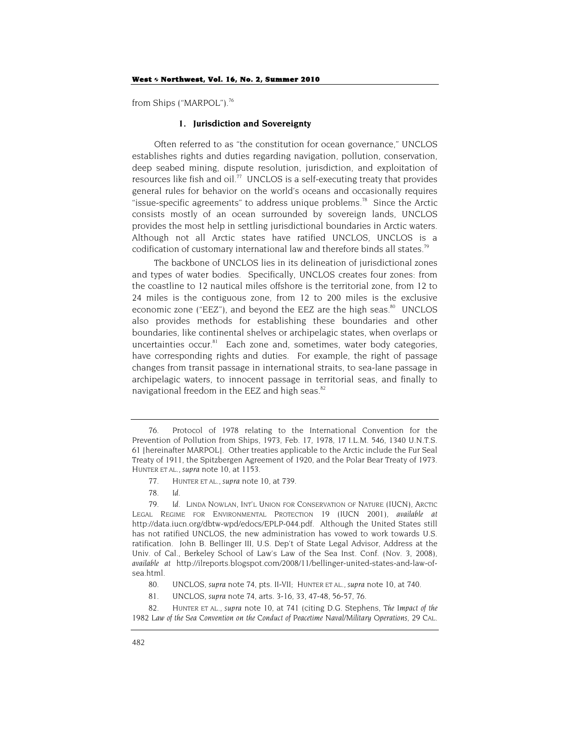from Ships ("MARPOL").<sup>76</sup>

# **1. Jurisdiction and Sovereignty**

Often referred to as "the constitution for ocean governance," UNCLOS establishes rights and duties regarding navigation, pollution, conservation, deep seabed mining, dispute resolution, jurisdiction, and exploitation of resources like fish and oil.<sup>77</sup> UNCLOS is a self-executing treaty that provides general rules for behavior on the world's oceans and occasionally requires "issue-specific agreements" to address unique problems.<sup>78</sup> Since the Arctic consists mostly of an ocean surrounded by sovereign lands, UNCLOS provides the most help in settling jurisdictional boundaries in Arctic waters. Although not all Arctic states have ratified UNCLOS, UNCLOS is a codification of customary international law and therefore binds all states.<sup>79</sup>

The backbone of UNCLOS lies in its delineation of jurisdictional zones and types of water bodies. Specifically, UNCLOS creates four zones: from the coastline to 12 nautical miles offshore is the territorial zone, from 12 to 24 miles is the contiguous zone, from 12 to 200 miles is the exclusive economic zone ("EEZ"), and beyond the EEZ are the high seas.<sup>80</sup> UNCLOS also provides methods for establishing these boundaries and other boundaries, like continental shelves or archipelagic states, when overlaps or uncertainties occur. $81$  Each zone and, sometimes, water body categories, have corresponding rights and duties. For example, the right of passage changes from transit passage in international straits, to sea-lane passage in archipelagic waters, to innocent passage in territorial seas, and finally to navigational freedom in the EEZ and high seas. $82$ 

81. UNCLOS, *supra* note 74, arts. 3-16, 33, 47-48, 56-57, 76.

<sup>76.</sup> Protocol of 1978 relating to the International Convention for the Prevention of Pollution from Ships, 1973, Feb. 17, 1978, 17 I.L.M. 546, 1340 U.N.T.S. 61 [hereinafter MARPOL]. Other treaties applicable to the Arctic include the Fur Seal Treaty of 1911, the Spitzbergen Agreement of 1920, and the Polar Bear Treaty of 1973. HUNTER ET AL., *supra* note 10, at 1153.

<sup>77.</sup> HUNTER ET AL., *supra* note 10, at 739.

<sup>78</sup>*. Id.*

<sup>79</sup>*. Id.* LINDA NOWLAN, INT'L UNION FOR CONSERVATION OF NATURE (IUCN), ARCTIC LEGAL REGIME FOR ENVIRONMENTAL PROTECTION 19 (IUCN 2001), *available at* http://data.iucn.org/dbtw-wpd/edocs/EPLP-044.pdf. Although the United States still has not ratified UNCLOS, the new administration has vowed to work towards U.S. ratification. John B. Bellinger III, U.S. Dep't of State Legal Advisor, Address at the Univ. of Cal., Berkeley School of Law's Law of the Sea Inst. Conf. (Nov. 3, 2008), *available at* http://ilreports.blogspot.com/2008/11/bellinger-united-states-and-law-ofsea.html.

<sup>80.</sup> UNCLOS, *supra* note 74, pts. II-VII; HUNTER ET AL., *supra* note 10, at 740.

<sup>82.</sup> HUNTER ET AL., *supra* note 10, at 741 (citing D.G. Stephens, *The Impact of the 1982 Law of the Sea Convention on the Conduct of Peacetime Naval/Military Operations*, 29 CAL.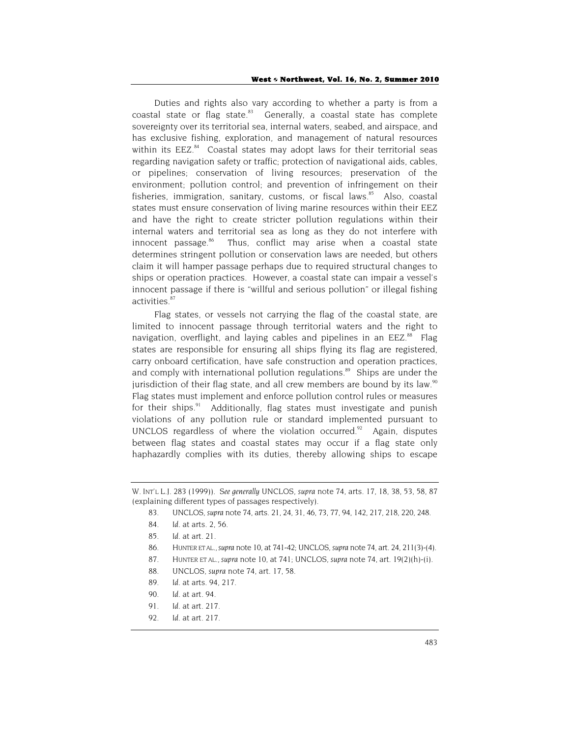Duties and rights also vary according to whether a party is from a coastal state or flag state.<sup>83</sup> Generally, a coastal state has complete sovereignty over its territorial sea, internal waters, seabed, and airspace, and has exclusive fishing, exploration, and management of natural resources within its  $EEZ$ <sup>84</sup> Coastal states may adopt laws for their territorial seas regarding navigation safety or traffic; protection of navigational aids, cables, or pipelines; conservation of living resources; preservation of the environment; pollution control; and prevention of infringement on their fisheries, immigration, sanitary, customs, or fiscal laws.<sup>85</sup> Also, coastal states must ensure conservation of living marine resources within their EEZ and have the right to create stricter pollution regulations within their internal waters and territorial sea as long as they do not interfere with innocent passage. $86$  Thus, conflict may arise when a coastal state determines stringent pollution or conservation laws are needed, but others claim it will hamper passage perhaps due to required structural changes to ships or operation practices. However, a coastal state can impair a vessel's innocent passage if there is "willful and serious pollution" or illegal fishing activities.<sup>87</sup>

Flag states, or vessels not carrying the flag of the coastal state, are limited to innocent passage through territorial waters and the right to navigation, overflight, and laying cables and pipelines in an  $EEZ$ <sup>88</sup> Flag states are responsible for ensuring all ships flying its flag are registered, carry onboard certification, have safe construction and operation practices, and comply with international pollution regulations.<sup>89</sup> Ships are under the jurisdiction of their flag state, and all crew members are bound by its law.<sup>90</sup> Flag states must implement and enforce pollution control rules or measures for their ships.<sup>91</sup> Additionally, flag states must investigate and punish violations of any pollution rule or standard implemented pursuant to UNCLOS regardless of where the violation occurred. $92$  Again, disputes between flag states and coastal states may occur if a flag state only haphazardly complies with its duties, thereby allowing ships to escape

- 83. UNCLOS, *supra* note 74, arts. 21, 24, 31, 46, 73, 77, 94, 142, 217, 218, 220, 248.
- 84*. Id.* at arts. 2, 56.
- 85*. Id.* at art. 21.
- 86. HUNTER ET AL.,*supra* note 10, at 741-42; UNCLOS, *supra* note 74, art. 24, 211(3)-(4).
- 87. HUNTER ET AL., *supra* note 10, at 741; UNCLOS, *supra* note 74, art. 19(2)(h)-(i).
- 88. UNCLOS, *supra* note 74, art. 17, 58.
- 89*. Id.* at arts. 94, 217.
- 90*. Id.* at art. 94.
- 91*. Id.* at art. 217.
- 92*. Id.* at art. 217.

W. INT'L L.J. 283 (1999)). *See generally* UNCLOS, *supra* note 74, arts. 17, 18, 38, 53, 58, 87 (explaining different types of passages respectively).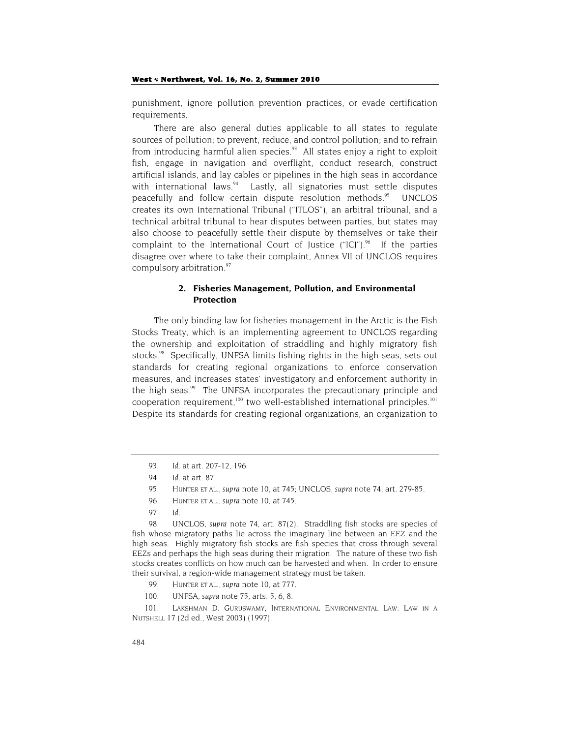punishment, ignore pollution prevention practices, or evade certification requirements.

There are also general duties applicable to all states to regulate sources of pollution; to prevent, reduce, and control pollution; and to refrain from introducing harmful alien species.<sup>93</sup> All states enjoy a right to exploit fish, engage in navigation and overflight, conduct research, construct artificial islands, and lay cables or pipelines in the high seas in accordance with international laws. $94$  Lastly, all signatories must settle disputes peacefully and follow certain dispute resolution methods.<sup>95</sup> UNCLOS creates its own International Tribunal ("ITLOS"), an arbitral tribunal, and a technical arbitral tribunal to hear disputes between parties, but states may also choose to peacefully settle their dispute by themselves or take their complaint to the International Court of Justice  $("ICJ")$ .<sup>96</sup> If the parties disagree over where to take their complaint, Annex VII of UNCLOS requires compulsory arbitration.<sup>97</sup>

# **2. Fisheries Management, Pollution, and Environmental Protection**

The only binding law for fisheries management in the Arctic is the Fish Stocks Treaty, which is an implementing agreement to UNCLOS regarding the ownership and exploitation of straddling and highly migratory fish stocks.<sup>98</sup> Specifically, UNFSA limits fishing rights in the high seas, sets out standards for creating regional organizations to enforce conservation measures, and increases states' investigatory and enforcement authority in the high seas.<sup>99</sup> The UNFSA incorporates the precautionary principle and cooperation requirement,<sup>100</sup> two well-established international principles.<sup>101</sup> Despite its standards for creating regional organizations, an organization to

<sup>93</sup>*. Id.* at art. 207-12, 196.

<sup>94</sup>*. Id.* at art. 87.

<sup>95.</sup> HUNTER ET AL., *supra* note 10, at 745; UNCLOS, *supra* note 74, art. 279-85.

<sup>96.</sup> HUNTER ET AL., *supra* note 10, at 745.

<sup>97</sup>*. Id.*

<sup>98.</sup> UNCLOS, *supra* note 74, art. 87(2). Straddling fish stocks are species of fish whose migratory paths lie across the imaginary line between an EEZ and the high seas. Highly migratory fish stocks are fish species that cross through several EEZs and perhaps the high seas during their migration. The nature of these two fish stocks creates conflicts on how much can be harvested and when. In order to ensure their survival, a region-wide management strategy must be taken.

<sup>99.</sup> HUNTER ET AL., *supra* note 10, at 777.

<sup>100.</sup> UNFSA, *supra* note 75, arts. 5, 6, 8.

<sup>101.</sup> LAKSHMAN D. GURUSWAMY, INTERNATIONAL ENVIRONMENTAL LAW: LAW IN A NUTSHELL 17 (2d ed., West 2003) (1997).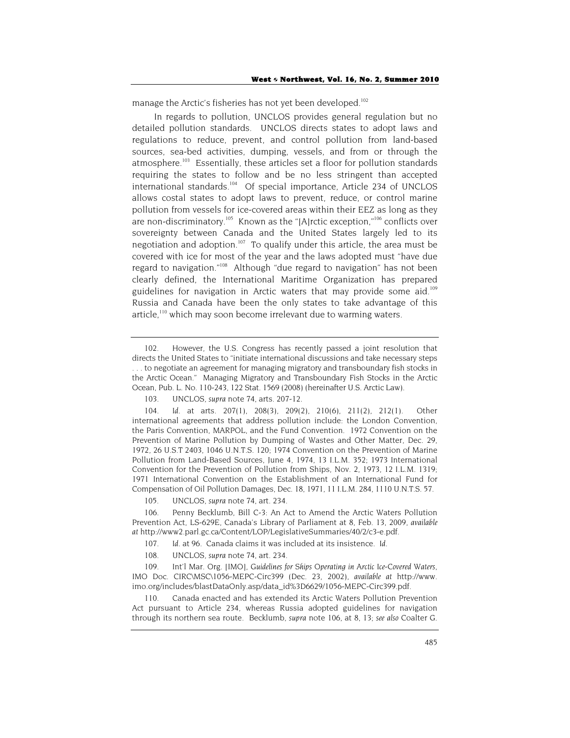manage the Arctic's fisheries has not yet been developed.<sup>102</sup>

In regards to pollution, UNCLOS provides general regulation but no detailed pollution standards. UNCLOS directs states to adopt laws and regulations to reduce, prevent, and control pollution from land-based sources, sea-bed activities, dumping, vessels, and from or through the atmosphere.<sup>103</sup> Essentially, these articles set a floor for pollution standards requiring the states to follow and be no less stringent than accepted international standards.104 Of special importance, Article 234 of UNCLOS allows costal states to adopt laws to prevent, reduce, or control marine pollution from vessels for ice-covered areas within their EEZ as long as they are non-discriminatory.<sup>105</sup> Known as the "[A]rctic exception,"<sup>106</sup> conflicts over sovereignty between Canada and the United States largely led to its negotiation and adoption.<sup>107</sup> To qualify under this article, the area must be covered with ice for most of the year and the laws adopted must "have due regard to navigation."<sup>108</sup> Although "due regard to navigation" has not been clearly defined, the International Maritime Organization has prepared guidelines for navigation in Arctic waters that may provide some aid.<sup>109</sup> Russia and Canada have been the only states to take advantage of this article,<sup>110</sup> which may soon become irrelevant due to warming waters.

105. UNCLOS, *supra* note 74, art. 234.

106. Penny Becklumb, Bill C-3: An Act to Amend the Arctic Waters Pollution Prevention Act, LS-629E, Canada's Library of Parliament at 8, Feb. 13, 2009, *available at* http://www2.parl.gc.ca/Content/LOP/LegislativeSummaries/40/2/c3-e.pdf.

107*. Id.* at 96. Canada claims it was included at its insistence. *Id.*

108. UNCLOS, *supra* note 74, art. 234.

109. Int'l Mar. Org. [IMO], *Guidelines for Ships Operating in Arctic Ice-Covered Waters*, IMO Doc. CIRC\MSC\1056-MEPC-Circ399 (Dec. 23, 2002), *available at* http://www. imo.org/includes/blastDataOnly.asp/data\_id%3D6629/1056-MEPC-Circ399.pdf.

110. Canada enacted and has extended its Arctic Waters Pollution Prevention Act pursuant to Article 234, whereas Russia adopted guidelines for navigation through its northern sea route. Becklumb, *supra* note 106, at 8, 13; *see also* Coalter G.

<sup>102.</sup> However, the U.S. Congress has recently passed a joint resolution that directs the United States to "initiate international discussions and take necessary steps . . . to negotiate an agreement for managing migratory and transboundary fish stocks in the Arctic Ocean." Managing Migratory and Transboundary Fish Stocks in the Arctic Ocean, Pub. L. No. 110-243, 122 Stat. 1569 (2008) (hereinafter U.S. Arctic Law).

<sup>103.</sup> UNCLOS, *supra* note 74, arts. 207-12.

<sup>104</sup>*. Id.* at arts. 207(1), 208(3), 209(2), 210(6), 211(2), 212(1). Other international agreements that address pollution include: the London Convention, the Paris Convention, MARPOL, and the Fund Convention. 1972 Convention on the Prevention of Marine Pollution by Dumping of Wastes and Other Matter, Dec. 29, 1972, 26 U.S.T 2403, 1046 U.N.T.S. 120; 1974 Convention on the Prevention of Marine Pollution from Land-Based Sources, June 4, 1974, 13 I.L.M. 352; 1973 International Convention for the Prevention of Pollution from Ships, Nov. 2, 1973, 12 I.L.M. 1319; 1971 International Convention on the Establishment of an International Fund for Compensation of Oil Pollution Damages, Dec. 18, 1971, 11 I.L.M. 284, 1110 U.N.T.S. 57.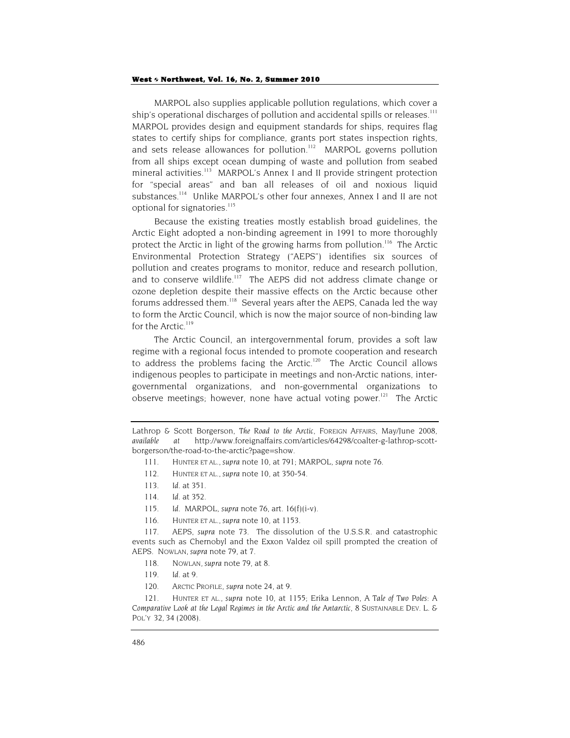MARPOL also supplies applicable pollution regulations, which cover a ship's operational discharges of pollution and accidental spills or releases.<sup>111</sup> MARPOL provides design and equipment standards for ships, requires flag states to certify ships for compliance, grants port states inspection rights, and sets release allowances for pollution.<sup>112</sup> MARPOL governs pollution from all ships except ocean dumping of waste and pollution from seabed mineral activities.<sup>113</sup> MARPOL's Annex I and II provide stringent protection for "special areas" and ban all releases of oil and noxious liquid substances.<sup>114</sup> Unlike MARPOL's other four annexes, Annex I and II are not optional for signatories.<sup>115</sup>

Because the existing treaties mostly establish broad guidelines, the Arctic Eight adopted a non-binding agreement in 1991 to more thoroughly protect the Arctic in light of the growing harms from pollution.<sup>116</sup> The Arctic Environmental Protection Strategy ("AEPS") identifies six sources of pollution and creates programs to monitor, reduce and research pollution, and to conserve wildlife.<sup>117</sup> The AEPS did not address climate change or ozone depletion despite their massive effects on the Arctic because other forums addressed them.<sup>118</sup> Several years after the AEPS, Canada led the way to form the Arctic Council, which is now the major source of non-binding law for the Arctic.<sup>119</sup>

The Arctic Council, an intergovernmental forum, provides a soft law regime with a regional focus intended to promote cooperation and research to address the problems facing the Arctic.<sup>120</sup> The Arctic Council allows indigenous peoples to participate in meetings and non-Arctic nations, intergovernmental organizations, and non-governmental organizations to observe meetings; however, none have actual voting power.<sup>121</sup> The Arctic

- 111. HUNTER ET AL., *supra* note 10, at 791; MARPOL, *supra* note 76.
- 112. HUNTER ET AL., *supra* note 10, at 350-54.
- 113*. Id.* at 351.
- 114*. Id.* at 352.
- 115*. Id.* MARPOL, *supra* note 76, art. 16(f)(i-v).
- 116. HUNTER ET AL., *supra* note 10, at 1153.

117. AEPS, *supra* note 73. The dissolution of the U.S.S.R. and catastrophic events such as Chernobyl and the Exxon Valdez oil spill prompted the creation of AEPS. NOWLAN, *supra* note 79, at *7*.

- 118. NOWLAN, *supra* note 79, at 8.
- 119*. Id.* at 9.
- 120. ARCTIC PROFILE, *supra* note 24, at 9.

121. HUNTER ET AL., *supra* note 10, at 1155; Erika Lennon, *A Tale of Two Poles: A Comparative Look at the Legal Regimes in the Arctic and the Antarctic*, 8 SUSTAINABLE DEV. L. & POL'Y 32, 34 (2008).

Lathrop & Scott Borgerson, *The Road to the Arctic*, FOREIGN AFFAIRS, May/June 2008, *available at* http://www.foreignaffairs.com/articles/64298/coalter-g-lathrop-scottborgerson/the-road-to-the-arctic?page=show.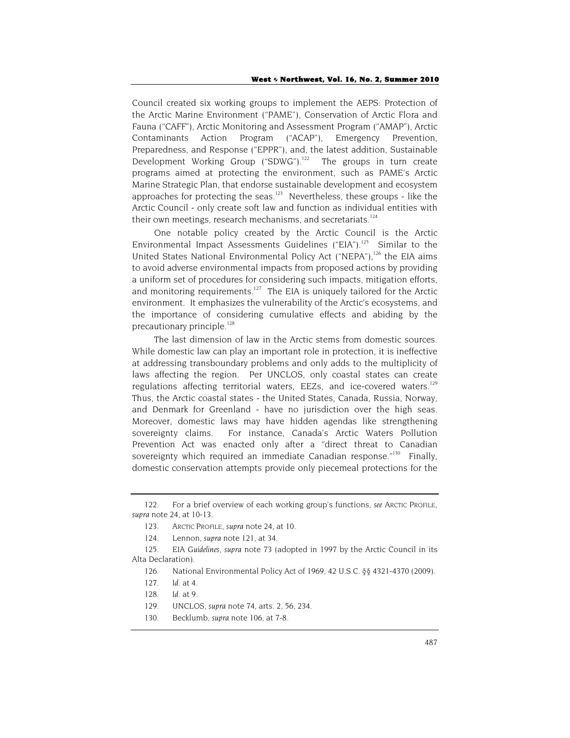Council created six working groups to implement the AEPS: Protection of the Arctic Marine Environment ("PAME"), Conservation of Arctic Flora and Fauna ("CAFF"), Arctic Monitoring and Assessment Program ("AMAP"), Arctic Contaminants Action Program ("ACAP"), Emergency Prevention, Preparedness, and Response ("EPPR"), and, the latest addition, Sustainable Development Working Group ("SDWG").<sup>122</sup> The groups in turn create programs aimed at protecting the environment, such as PAME's Arctic Marine Strategic Plan, that endorse sustainable development and ecosystem approaches for protecting the seas.<sup>123</sup> Nevertheless, these groups - like the Arctic Council - only create soft law and function as individual entities with their own meetings, research mechanisms, and secretariats.<sup>124</sup>

One notable policy created by the Arctic Council is the Arctic Environmental Impact Assessments Guidelines ("EIA").<sup>125</sup> Similar to the United States National Environmental Policy Act ("NEPA"),<sup>126</sup> the EIA aims to avoid adverse environmental impacts from proposed actions by providing a uniform set of procedures for considering such impacts, mitigation efforts, and monitoring requirements.<sup>127</sup> The EIA is uniquely tailored for the Arctic environment. It emphasizes the vulnerability of the Arctic's ecosystems, and the importance of considering cumulative effects and abiding by the precautionary principle.<sup>128</sup>

The last dimension of law in the Arctic stems from domestic sources. While domestic law can play an important role in protection, it is ineffective at addressing transboundary problems and only adds to the multiplicity of laws affecting the region. Per UNCLOS, only coastal states can create regulations affecting territorial waters,  $EEZs$ , and ice-covered waters.<sup>129</sup> Thus, the Arctic coastal states - the United States, Canada, Russia, Norway, and Denmark for Greenland - have no jurisdiction over the high seas. Moreover, domestic laws may have hidden agendas like strengthening sovereignty claims. For instance, Canada's Arctic Waters Pollution Prevention Act was enacted only after a "direct threat to Canadian sovereignty which required an immediate Canadian response."<sup>130</sup> Finally, domestic conservation attempts provide only piecemeal protections for the

130. Becklumb, *supra* note 106, at 7-8.

<sup>122.</sup> For a brief overview of each working group's functions, *see* ARCTIC PROFILE, *supra* note 24, at 10-13.

<sup>123.</sup> ARCTIC PROFILE, *supra* note 24, at 10.

<sup>124.</sup> Lennon, *supra* note 121, at 34.

<sup>125.</sup> *EIA Guidelines*, *supra* note 73 (adopted in 1997 by the Arctic Council in its Alta Declaration).

<sup>126.</sup> National Environmental Policy Act of 1969, 42 U.S.C. §§ 4321-4370 (2009).

<sup>127</sup>*. Id.* at 4.

<sup>128</sup>*. Id*. at 9.

<sup>129.</sup> UNCLOS, *supra* note 74, arts. 2, 56, 234.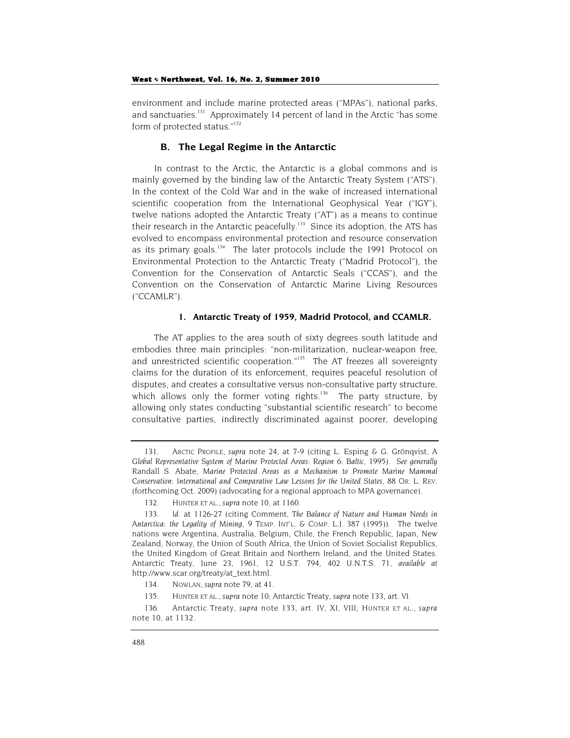environment and include marine protected areas ("MPAs"), national parks, and sanctuaries.<sup>131</sup> Approximately 14 percent of land in the Arctic "has some form of protected status."<sup>132</sup>

# **B. The Legal Regime in the Antarctic**

In contrast to the Arctic, the Antarctic is a global commons and is mainly governed by the binding law of the Antarctic Treaty System ("ATS"). In the context of the Cold War and in the wake of increased international scientific cooperation from the International Geophysical Year ("IGY"), twelve nations adopted the Antarctic Treaty ("AT") as a means to continue their research in the Antarctic peacefully.<sup>133</sup> Since its adoption, the ATS has evolved to encompass environmental protection and resource conservation as its primary goals.<sup>134</sup> The later protocols include the 1991 Protocol on Environmental Protection to the Antarctic Treaty ("Madrid Protocol"), the Convention for the Conservation of Antarctic Seals ("CCAS"), and the Convention on the Conservation of Antarctic Marine Living Resources ("CCAMLR").

# **1. Antarctic Treaty of 1959, Madrid Protocol, and CCAMLR.**

The AT applies to the area south of sixty degrees south latitude and embodies three main principles: "non-militarization, nuclear-weapon free, and unrestricted scientific cooperation."<sup>135</sup> The AT freezes all sovereignty claims for the duration of its enforcement, requires peaceful resolution of disputes, and creates a consultative versus non-consultative party structure, which allows only the former voting rights. $136$  The party structure, by allowing only states conducting "substantial scientific research" to become consultative parties, indirectly discriminated against poorer, developing

<sup>131.</sup> ARCTIC PROFILE, *supra* note 24, at 7-9 (citing L. Esping & G. Grönqvist, *A Global Representative System of Marine Protected Areas*: *Region 6: Baltic*, 1995). *See generally* Randall S. Abate, *Marine Protected Areas as a Mechanism to Promote Marine Mammal Conservation: International and Comparative Law Lessons for the United States*, 88 OR. L. REV. (forthcoming Oct. 2009) (advocating for a regional approach to MPA governance).

<sup>132.</sup> HUNTER ET AL., *supra* note 10, at 1160.

<sup>133</sup>*. Id.* at 1126-27 (citing Comment, *The Balance of Nature and Human Needs in Antarctica: the Legality of Mining*, 9 TEMP. INT'L. & COMP. L.J. 387 (1995)). The twelve nations were Argentina, Australia, Belgium, Chile, the French Republic, Japan, New Zealand, Norway, the Union of South Africa, the Union of Soviet Socialist Republics, the United Kingdom of Great Britain and Northern Ireland, and the United States. Antarctic Treaty, June 23, 1961, 12 U.S.T. 794, 402 U.N.T.S. 71, *available at* http://www.scar.org/treaty/at\_text.html.

<sup>134.</sup> NOWLAN, *supra* note 79, at 41.

<sup>135.</sup> HUNTER ET AL., *supra* note 10; Antarctic Treaty, *supra* note 133, art. VI.

<sup>136.</sup> Antarctic Treaty, *supra* note 133, art. IV, XI, VIII; HUNTER ET AL., *supra* note 10, at 1132.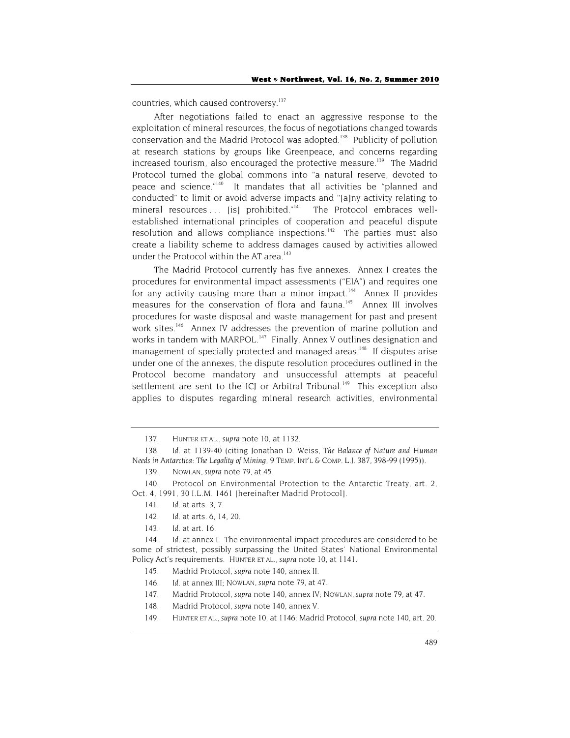countries, which caused controversy.<sup>137</sup>

After negotiations failed to enact an aggressive response to the exploitation of mineral resources, the focus of negotiations changed towards conservation and the Madrid Protocol was adopted.<sup>138</sup> Publicity of pollution at research stations by groups like Greenpeace, and concerns regarding increased tourism, also encouraged the protective measure.<sup>139</sup> The Madrid Protocol turned the global commons into "a natural reserve, devoted to peace and science."140 It mandates that all activities be "planned and conducted" to limit or avoid adverse impacts and "[a]ny activity relating to mineral resources . . [is] prohibited."<sup>141</sup> The Protocol embraces wellestablished international principles of cooperation and peaceful dispute resolution and allows compliance inspections.<sup>142</sup> The parties must also create a liability scheme to address damages caused by activities allowed under the Protocol within the AT area.<sup>143</sup>

The Madrid Protocol currently has five annexes. Annex I creates the procedures for environmental impact assessments ("EIA") and requires one for any activity causing more than a minor impact.<sup>144</sup> Annex II provides measures for the conservation of flora and fauna.<sup>145</sup> Annex III involves procedures for waste disposal and waste management for past and present work sites.<sup>146</sup> Annex IV addresses the prevention of marine pollution and works in tandem with MARPOL.<sup>147</sup> Finally, Annex V outlines designation and management of specially protected and managed areas.<sup>148</sup> If disputes arise under one of the annexes, the dispute resolution procedures outlined in the Protocol become mandatory and unsuccessful attempts at peaceful settlement are sent to the ICJ or Arbitral Tribunal.<sup>149</sup> This exception also applies to disputes regarding mineral research activities, environmental

<sup>137.</sup> HUNTER ET AL., *supra* note 10, at 1132.

<sup>138</sup>*. Id.* at 1139-40 (citing Jonathan D. Weiss, *The Balance of Nature and Human Needs in Antarctica: The Legality of Mining*, 9 TEMP. INT'L & COMP. L.J. 387, 398-99 (1995)).

<sup>139.</sup> NOWLAN, *supra* note 79, at 45.

<sup>140.</sup> Protocol on Environmental Protection to the Antarctic Treaty, art. 2, Oct. 4, 1991, 30 I.L.M. 1461 [hereinafter Madrid Protocol].

<sup>141</sup>*. Id.* at arts. 3, 7.

<sup>142</sup>*. Id.* at arts. 6, 14, 20.

<sup>143</sup>*. Id.* at art. 16.

<sup>144</sup>*. Id.* at annex I. The environmental impact procedures are considered to be some of strictest, possibly surpassing the United States' National Environmental Policy Act's requirements. HUNTER ET AL., *supra* note 10, at 1141.

<sup>145.</sup> Madrid Protocol, *supra* note 140, annex II.

<sup>146</sup>*. Id.* at annex III; NOWLAN, *supra* note 79, at 47.

<sup>147.</sup> Madrid Protocol, *supra* note 140, annex IV; NOWLAN, *supra* note 79, at 47.

<sup>148.</sup> Madrid Protocol, *supra* note 140, annex V.

<sup>149.</sup> HUNTER ET AL., *supra* note 10, at 1146; Madrid Protocol, *supra* note 140, art. 20.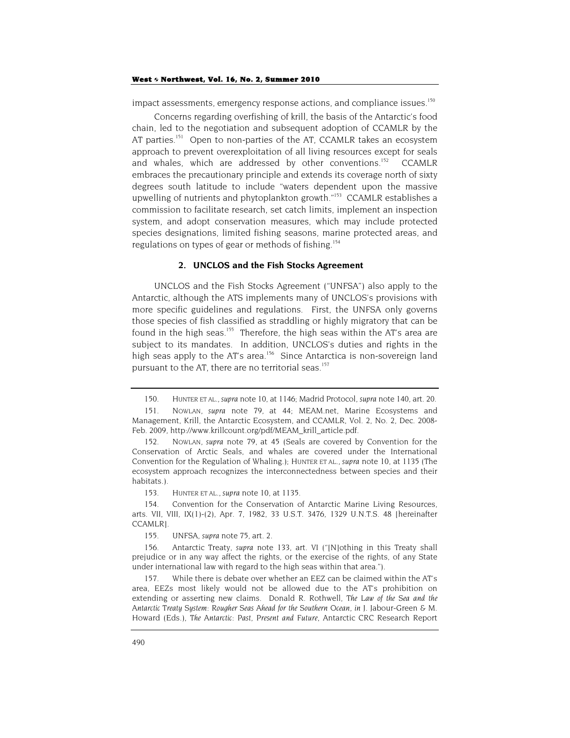impact assessments, emergency response actions, and compliance issues.<sup>150</sup>

Concerns regarding overfishing of krill, the basis of the Antarctic's food chain, led to the negotiation and subsequent adoption of CCAMLR by the AT parties.<sup>151</sup> Open to non-parties of the AT, CCAMLR takes an ecosystem approach to prevent overexploitation of all living resources except for seals and whales, which are addressed by other conventions.<sup>152</sup> CCAMLR embraces the precautionary principle and extends its coverage north of sixty degrees south latitude to include "waters dependent upon the massive upwelling of nutrients and phytoplankton growth."<sup>153</sup> CCAMLR establishes a commission to facilitate research, set catch limits, implement an inspection system, and adopt conservation measures, which may include protected species designations, limited fishing seasons, marine protected areas, and regulations on types of gear or methods of fishing.<sup>154</sup>

# **2. UNCLOS and the Fish Stocks Agreement**

UNCLOS and the Fish Stocks Agreement ("UNFSA") also apply to the Antarctic, although the ATS implements many of UNCLOS's provisions with more specific guidelines and regulations. First, the UNFSA only governs those species of fish classified as straddling or highly migratory that can be found in the high seas.<sup>155</sup> Therefore, the high seas within the AT's area are subject to its mandates. In addition, UNCLOS's duties and rights in the high seas apply to the AT's area.<sup>156</sup> Since Antarctica is non-sovereign land pursuant to the AT, there are no territorial seas.<sup>157</sup>

153. HUNTER ET AL., *supra* note 10, at 1135.

154. Convention for the Conservation of Antarctic Marine Living Resources, arts. VII, VIII, IX(1)-(2), Apr. 7, 1982, 33 U.S.T. 3476, 1329 U.N.T.S. 48 [hereinafter CCAMLR].

155. UNFSA, *supra* note 75, art. 2.

156. Antarctic Treaty, *supra* note 133, art. VI ("[N]othing in this Treaty shall prejudice or in any way affect the rights, or the exercise of the rights, of any State under international law with regard to the high seas within that area.").

157. While there is debate over whether an EEZ can be claimed within the AT's area, EEZs most likely would not be allowed due to the AT's prohibition on extending or asserting new claims. Donald R. Rothwell, *The Law of the Sea and the Antarctic Treaty System: Rougher Seas Ahead for the Southern Ocean*, *in* J. Jabour-Green & M. Howard (Eds.), *The Antarctic: Past, Present and Future*, Antarctic CRC Research Report

<sup>150.</sup> HUNTER ET AL., *supra* note 10, at 1146; Madrid Protocol, *supra* note 140, art. 20.

<sup>151.</sup> NOWLAN, *supra* note 79, at 44; MEAM.net, Marine Ecosystems and Management, Krill, the Antarctic Ecosystem, and CCAMLR, Vol. 2, No. 2, Dec. 2008- Feb. 2009, http://www.krillcount.org/pdf/MEAM\_krill\_article.pdf.

<sup>152.</sup> NOWLAN, *supra* note 79, at 45 (Seals are covered by Convention for the Conservation of Arctic Seals, and whales are covered under the International Convention for the Regulation of Whaling.); HUNTER ET AL., *supra* note 10, at 1135 (The ecosystem approach recognizes the interconnectedness between species and their habitats.).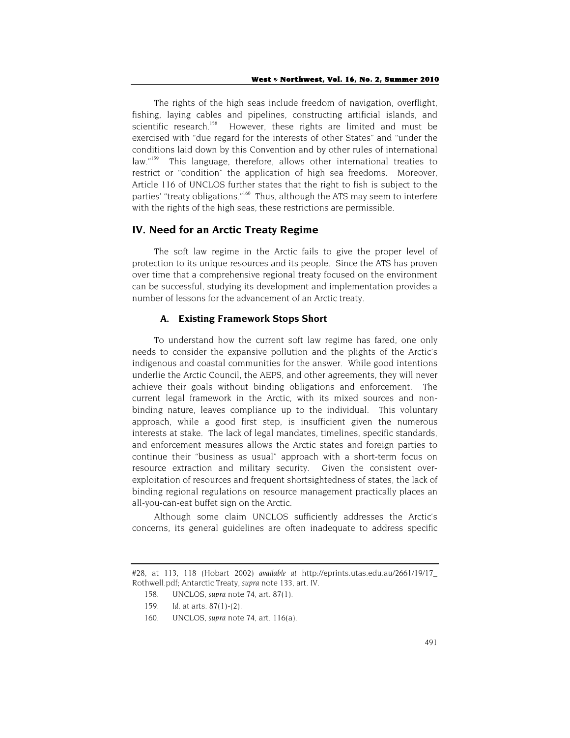The rights of the high seas include freedom of navigation, overflight, fishing, laying cables and pipelines, constructing artificial islands, and scientific research.<sup>158</sup> However, these rights are limited and must be exercised with "due regard for the interests of other States" and "under the conditions laid down by this Convention and by other rules of international law."<sup>159</sup> This language, therefore, allows other international treaties to restrict or "condition" the application of high sea freedoms. Moreover, Article 116 of UNCLOS further states that the right to fish is subject to the parties' "treaty obligations."<sup>160</sup> Thus, although the ATS may seem to interfere with the rights of the high seas, these restrictions are permissible.

# **IV. Need for an Arctic Treaty Regime**

The soft law regime in the Arctic fails to give the proper level of protection to its unique resources and its people. Since the ATS has proven over time that a comprehensive regional treaty focused on the environment can be successful, studying its development and implementation provides a number of lessons for the advancement of an Arctic treaty.

# **A. Existing Framework Stops Short**

To understand how the current soft law regime has fared, one only needs to consider the expansive pollution and the plights of the Arctic's indigenous and coastal communities for the answer. While good intentions underlie the Arctic Council, the AEPS, and other agreements, they will never achieve their goals without binding obligations and enforcement. The current legal framework in the Arctic, with its mixed sources and nonbinding nature, leaves compliance up to the individual. This voluntary approach, while a good first step, is insufficient given the numerous interests at stake. The lack of legal mandates, timelines, specific standards, and enforcement measures allows the Arctic states and foreign parties to continue their "business as usual" approach with a short-term focus on resource extraction and military security. Given the consistent overexploitation of resources and frequent shortsightedness of states, the lack of binding regional regulations on resource management practically places an all-you-can-eat buffet sign on the Arctic.

Although some claim UNCLOS sufficiently addresses the Arctic's concerns, its general guidelines are often inadequate to address specific

<sup>#28,</sup> at 113, 118 (Hobart 2002) *available at* http://eprints.utas.edu.au/2661/19/17\_ Rothwell.pdf; Antarctic Treaty, *supra* note 133, art. IV.

<sup>158.</sup> UNCLOS, *supra* note 74, art. 87(1).

<sup>159</sup>*. Id.* at arts. 87(1)-(2).

<sup>160.</sup> UNCLOS, *supra* note 74, art. 116(a).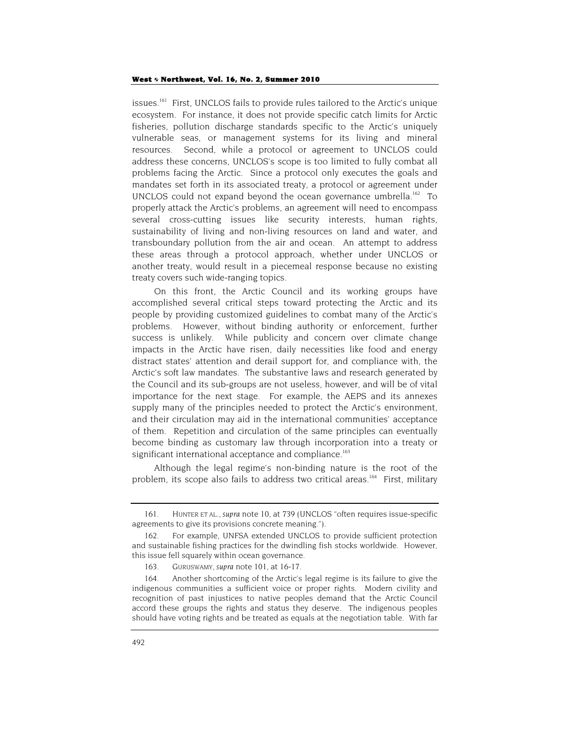issues.161 First, UNCLOS fails to provide rules tailored to the Arctic's unique ecosystem. For instance, it does not provide specific catch limits for Arctic fisheries, pollution discharge standards specific to the Arctic's uniquely vulnerable seas, or management systems for its living and mineral resources. Second, while a protocol or agreement to UNCLOS could address these concerns, UNCLOS's scope is too limited to fully combat all problems facing the Arctic. Since a protocol only executes the goals and mandates set forth in its associated treaty, a protocol or agreement under UNCLOS could not expand beyond the ocean governance umbrella.<sup>162</sup> To properly attack the Arctic's problems, an agreement will need to encompass several cross-cutting issues like security interests, human rights, sustainability of living and non-living resources on land and water, and transboundary pollution from the air and ocean. An attempt to address these areas through a protocol approach, whether under UNCLOS or another treaty, would result in a piecemeal response because no existing treaty covers such wide-ranging topics.

On this front, the Arctic Council and its working groups have accomplished several critical steps toward protecting the Arctic and its people by providing customized guidelines to combat many of the Arctic's problems. However, without binding authority or enforcement, further success is unlikely. While publicity and concern over climate change impacts in the Arctic have risen, daily necessities like food and energy distract states' attention and derail support for, and compliance with, the Arctic's soft law mandates. The substantive laws and research generated by the Council and its sub-groups are not useless, however, and will be of vital importance for the next stage. For example, the AEPS and its annexes supply many of the principles needed to protect the Arctic's environment, and their circulation may aid in the international communities' acceptance of them. Repetition and circulation of the same principles can eventually become binding as customary law through incorporation into a treaty or significant international acceptance and compliance.<sup>163</sup>

Although the legal regime's non-binding nature is the root of the problem, its scope also fails to address two critical areas.<sup>164</sup> First, military

<sup>161.</sup> HUNTER ET AL., *supra* note 10, at 739 (UNCLOS "often requires issue-specific agreements to give its provisions concrete meaning.").

<sup>162.</sup> For example, UNFSA extended UNCLOS to provide sufficient protection and sustainable fishing practices for the dwindling fish stocks worldwide. However, this issue fell squarely within ocean governance.

<sup>163.</sup> GURUSWAMY, *supra* note 101, at 16-17.

<sup>164.</sup> Another shortcoming of the Arctic's legal regime is its failure to give the indigenous communities a sufficient voice or proper rights. Modern civility and recognition of past injustices to native peoples demand that the Arctic Council accord these groups the rights and status they deserve. The indigenous peoples should have voting rights and be treated as equals at the negotiation table. With far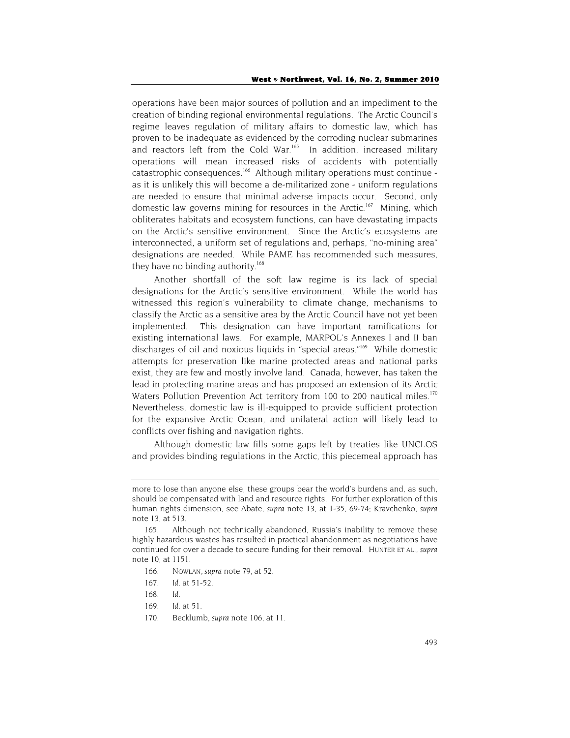operations have been major sources of pollution and an impediment to the creation of binding regional environmental regulations. The Arctic Council's regime leaves regulation of military affairs to domestic law, which has proven to be inadequate as evidenced by the corroding nuclear submarines and reactors left from the Cold War.<sup>165</sup> In addition, increased military operations will mean increased risks of accidents with potentially catastrophic consequences.<sup>166</sup> Although military operations must continue as it is unlikely this will become a de-militarized zone - uniform regulations are needed to ensure that minimal adverse impacts occur. Second, only domestic law governs mining for resources in the Arctic.<sup>167</sup> Mining, which obliterates habitats and ecosystem functions, can have devastating impacts on the Arctic's sensitive environment. Since the Arctic's ecosystems are interconnected, a uniform set of regulations and, perhaps, "no-mining area" designations are needed. While PAME has recommended such measures, they have no binding authority.<sup>168</sup>

Another shortfall of the soft law regime is its lack of special designations for the Arctic's sensitive environment. While the world has witnessed this region's vulnerability to climate change, mechanisms to classify the Arctic as a sensitive area by the Arctic Council have not yet been implemented. This designation can have important ramifications for existing international laws. For example, MARPOL's Annexes I and II ban discharges of oil and noxious liquids in "special areas."169 While domestic attempts for preservation like marine protected areas and national parks exist, they are few and mostly involve land. Canada, however, has taken the lead in protecting marine areas and has proposed an extension of its Arctic Waters Pollution Prevention Act territory from 100 to 200 nautical miles.<sup>170</sup> Nevertheless, domestic law is ill-equipped to provide sufficient protection for the expansive Arctic Ocean, and unilateral action will likely lead to conflicts over fishing and navigation rights.

Although domestic law fills some gaps left by treaties like UNCLOS and provides binding regulations in the Arctic, this piecemeal approach has

- 166. NOWLAN, *supra* note 79, at 52.
- 167*. Id.* at 51-52.
- 168*. Id.*

170. Becklumb, *supra* note 106, at 11.

more to lose than anyone else, these groups bear the world's burdens and, as such, should be compensated with land and resource rights. For further exploration of this human rights dimension, see Abate, *supra* note 13, at 1-35, 69-74; Kravchenko, *supra* note 13, at 513.

<sup>165.</sup> Although not technically abandoned, Russia's inability to remove these highly hazardous wastes has resulted in practical abandonment as negotiations have continued for over a decade to secure funding for their removal. HUNTER ET AL., *supra* note 10, at 1151.

<sup>169</sup>*. Id.* at 51.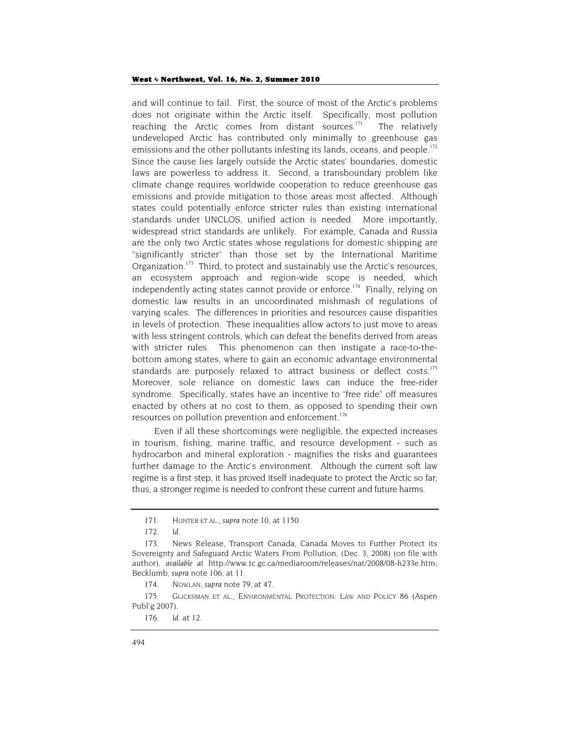and will continue to fail. First, the source of most of the Arctic's problems does not originate within the Arctic itself. Specifically, most pollution reaching the Arctic comes from distant sources.<sup>171</sup> The relatively undeveloped Arctic has contributed only minimally to greenhouse gas emissions and the other pollutants infesting its lands, oceans, and people.<sup>172</sup> Since the cause lies largely outside the Arctic states' boundaries, domestic laws are powerless to address it. Second, a transboundary problem like climate change requires worldwide cooperation to reduce greenhouse gas emissions and provide mitigation to those areas most affected. Although states could potentially enforce stricter rules than existing international standards under UNCLOS, unified action is needed. More importantly, widespread strict standards are unlikely. For example, Canada and Russia are the only two Arctic states whose regulations for domestic shipping are "significantly stricter" than those set by the International Maritime Organization.<sup>173</sup> Third, to protect and sustainably use the Arctic's resources, an ecosystem approach and region-wide scope is needed, which independently acting states cannot provide or enforce.<sup>174</sup> Finally, relying on domestic law results in an uncoordinated mishmash of regulations of varying scales. The differences in priorities and resources cause disparities in levels of protection. These inequalities allow actors to just move to areas with less stringent controls, which can defeat the benefits derived from areas with stricter rules. This phenomenon can then instigate a race-to-thebottom among states, where to gain an economic advantage environmental standards are purposely relaxed to attract business or deflect costs.<sup>175</sup> Moreover, sole reliance on domestic laws can induce the free-rider syndrome. Specifically, states have an incentive to "free ride" off measures enacted by others at no cost to them, as opposed to spending their own resources on pollution prevention and enforcement.<sup>176</sup>

Even if all these shortcomings were negligible, the expected increases in tourism, fishing, marine traffic, and resource development - such as hydrocarbon and mineral exploration - magnifies the risks and guarantees further damage to the Arctic's environment. Although the current soft law regime is a first step, it has proved itself inadequate to protect the Arctic so far; thus, a stronger regime is needed to confront these current and future harms.

<sup>171.</sup> HUNTER ET AL., *supra* note 10, at 1150.

<sup>172</sup>*. Id.*

<sup>173.</sup> News Release, Transport Canada, Canada Moves to Further Protect its Sovereignty and Safeguard Arctic Waters From Pollution, (Dec. 3, 2008) (on file with author), *available at* http://www.tc.gc.ca/mediaroom/releases/nat/2008/08-h233e.htm; Becklumb, *supra* note 106, at 11.

<sup>174.</sup> NOWLAN, *supra* note 79, at 47.

<sup>175.</sup> GLICKSMAN ET AL., ENVIRONMENTAL PROTECTION: LAW AND POLICY 86 (Aspen Publ'g 2007).

<sup>176</sup>*. Id.* at 12.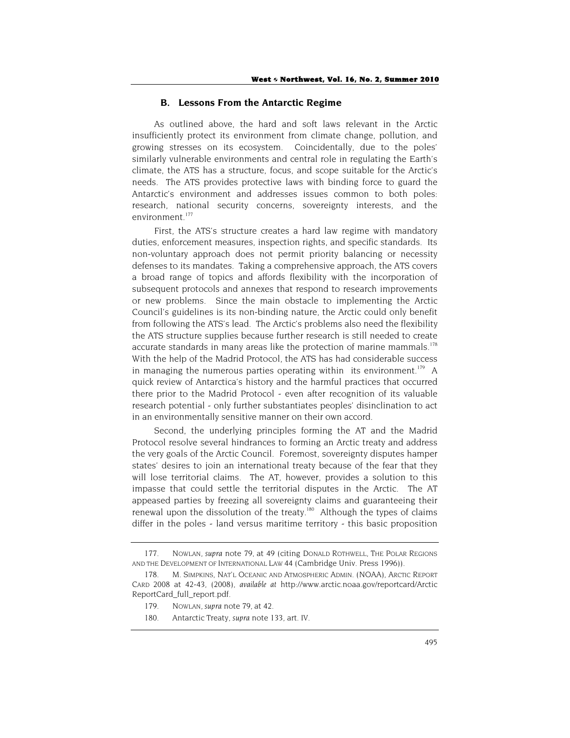# **B. Lessons From the Antarctic Regime**

As outlined above, the hard and soft laws relevant in the Arctic insufficiently protect its environment from climate change, pollution, and growing stresses on its ecosystem. Coincidentally, due to the poles' similarly vulnerable environments and central role in regulating the Earth's climate, the ATS has a structure, focus, and scope suitable for the Arctic's needs. The ATS provides protective laws with binding force to guard the Antarctic's environment and addresses issues common to both poles: research, national security concerns, sovereignty interests, and the environment.<sup>177</sup>

First, the ATS's structure creates a hard law regime with mandatory duties, enforcement measures, inspection rights, and specific standards. Its non-voluntary approach does not permit priority balancing or necessity defenses to its mandates. Taking a comprehensive approach, the ATS covers a broad range of topics and affords flexibility with the incorporation of subsequent protocols and annexes that respond to research improvements or new problems. Since the main obstacle to implementing the Arctic Council's guidelines is its non-binding nature, the Arctic could only benefit from following the ATS's lead. The Arctic's problems also need the flexibility the ATS structure supplies because further research is still needed to create accurate standards in many areas like the protection of marine mammals.<sup>178</sup> With the help of the Madrid Protocol, the ATS has had considerable success in managing the numerous parties operating within its environment.<sup>179</sup> A quick review of Antarctica's history and the harmful practices that occurred there prior to the Madrid Protocol - even after recognition of its valuable research potential - only further substantiates peoples' disinclination to act in an environmentally sensitive manner on their own accord.

Second, the underlying principles forming the AT and the Madrid Protocol resolve several hindrances to forming an Arctic treaty and address the very goals of the Arctic Council. Foremost, sovereignty disputes hamper states' desires to join an international treaty because of the fear that they will lose territorial claims. The AT, however, provides a solution to this impasse that could settle the territorial disputes in the Arctic. The AT appeased parties by freezing all sovereignty claims and guaranteeing their renewal upon the dissolution of the treaty.<sup>180</sup> Although the types of claims differ in the poles - land versus maritime territory - this basic proposition

180. Antarctic Treaty, *supra* note 133, art. IV.

<sup>177.</sup> NOWLAN, *supra* note 79, at 49 (citing DONALD ROTHWELL, THE POLAR REGIONS AND THE DEVELOPMENT OF INTERNATIONAL LAW 44 (Cambridge Univ. Press 1996)).

<sup>178.</sup> M. SIMPKINS, NAT'L OCEANIC AND ATMOSPHERIC ADMIN. (NOAA), ARCTIC REPORT CARD 2008 at 42-43, (2008), *available at* http://www.arctic.noaa.gov/reportcard/Arctic ReportCard\_full\_report.pdf.

<sup>179.</sup> NOWLAN, *supra* note 79, at 42.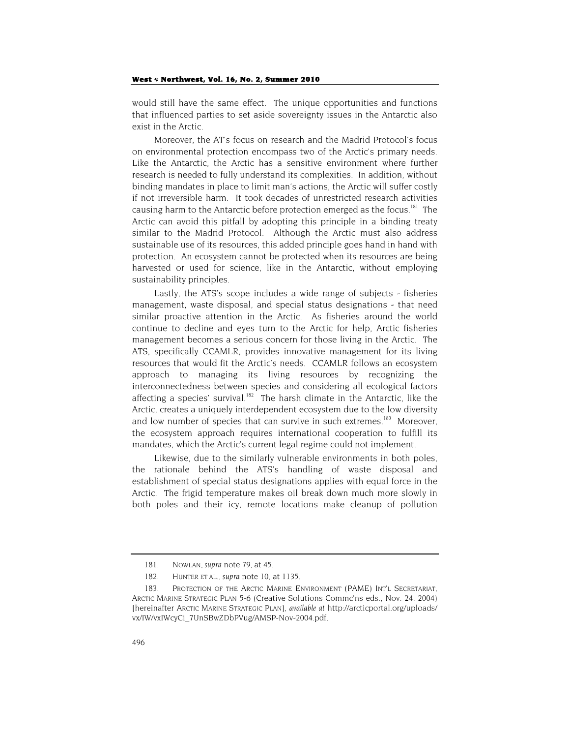would still have the same effect. The unique opportunities and functions that influenced parties to set aside sovereignty issues in the Antarctic also exist in the Arctic.

Moreover, the AT's focus on research and the Madrid Protocol's focus on environmental protection encompass two of the Arctic's primary needs. Like the Antarctic, the Arctic has a sensitive environment where further research is needed to fully understand its complexities. In addition, without binding mandates in place to limit man's actions, the Arctic will suffer costly if not irreversible harm. It took decades of unrestricted research activities causing harm to the Antarctic before protection emerged as the focus.<sup>181</sup> The Arctic can avoid this pitfall by adopting this principle in a binding treaty similar to the Madrid Protocol. Although the Arctic must also address sustainable use of its resources, this added principle goes hand in hand with protection. An ecosystem cannot be protected when its resources are being harvested or used for science, like in the Antarctic, without employing sustainability principles.

Lastly, the ATS's scope includes a wide range of subjects - fisheries management, waste disposal, and special status designations - that need similar proactive attention in the Arctic. As fisheries around the world continue to decline and eyes turn to the Arctic for help, Arctic fisheries management becomes a serious concern for those living in the Arctic. The ATS, specifically CCAMLR, provides innovative management for its living resources that would fit the Arctic's needs. CCAMLR follows an ecosystem approach to managing its living resources by recognizing the interconnectedness between species and considering all ecological factors affecting a species' survival.<sup>182</sup> The harsh climate in the Antarctic, like the Arctic, creates a uniquely interdependent ecosystem due to the low diversity and low number of species that can survive in such extremes.<sup>183</sup> Moreover, the ecosystem approach requires international cooperation to fulfill its mandates, which the Arctic's current legal regime could not implement.

Likewise, due to the similarly vulnerable environments in both poles, the rationale behind the ATS's handling of waste disposal and establishment of special status designations applies with equal force in the Arctic. The frigid temperature makes oil break down much more slowly in both poles and their icy, remote locations make cleanup of pollution

<sup>181.</sup> NOWLAN, *supra* note 79, at 45.

<sup>182.</sup> HUNTER ET AL., *supra* note 10, at 1135.

<sup>183.</sup> PROTECTION OF THE ARCTIC MARINE ENVIRONMENT (PAME) INT'L SECRETARIAT, ARCTIC MARINE STRATEGIC PLAN 5-6 (Creative Solutions Commc'ns eds., Nov. 24, 2004) [hereinafter ARCTIC MARINE STRATEGIC PLAN], *available at* http://arcticportal.org/uploads/ vx/IW/vxIWcyCi\_7UnSBwZDbPVug/AMSP-Nov-2004.pdf.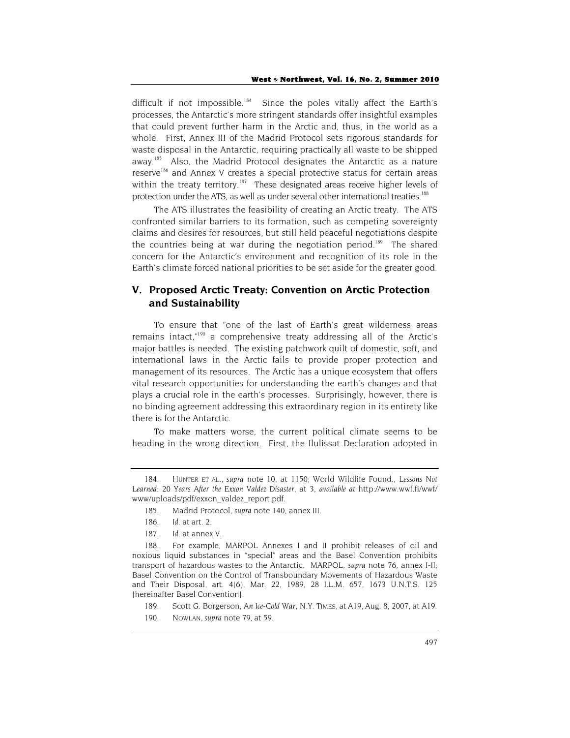difficult if not impossible.<sup>184</sup> Since the poles vitally affect the Earth's processes, the Antarctic's more stringent standards offer insightful examples that could prevent further harm in the Arctic and, thus, in the world as a whole. First, Annex III of the Madrid Protocol sets rigorous standards for waste disposal in the Antarctic, requiring practically all waste to be shipped away.<sup>185</sup> Also, the Madrid Protocol designates the Antarctic as a nature reserve<sup>186</sup> and Annex V creates a special protective status for certain areas within the treaty territory.<sup>187</sup> These designated areas receive higher levels of protection under the ATS, as well as under several other international treaties.<sup>188</sup>

The ATS illustrates the feasibility of creating an Arctic treaty. The ATS confronted similar barriers to its formation, such as competing sovereignty claims and desires for resources, but still held peaceful negotiations despite the countries being at war during the negotiation period.<sup>189</sup> The shared concern for the Antarctic's environment and recognition of its role in the Earth's climate forced national priorities to be set aside for the greater good.

# **V. Proposed Arctic Treaty: Convention on Arctic Protection and Sustainability**

To ensure that "one of the last of Earth's great wilderness areas remains intact,"<sup>190</sup> a comprehensive treaty addressing all of the Arctic's major battles is needed. The existing patchwork quilt of domestic, soft, and international laws in the Arctic fails to provide proper protection and management of its resources. The Arctic has a unique ecosystem that offers vital research opportunities for understanding the earth's changes and that plays a crucial role in the earth's processes. Surprisingly, however, there is no binding agreement addressing this extraordinary region in its entirety like there is for the Antarctic.

To make matters worse, the current political climate seems to be heading in the wrong direction. First, the Ilulissat Declaration adopted in

<sup>184.</sup> HUNTER ET AL., *supra* note 10, at 1150; World Wildlife Found., *Lessons Not Learned: 20 Years After the Exxon Valdez Disaster*, at 3, *available at* http://www.wwf.fi/wwf/ www/uploads/pdf/exxon\_valdez\_report.pdf.

<sup>185.</sup> Madrid Protocol, *supra* note 140, annex III.

<sup>186</sup>*. Id.* at art. 2.

<sup>187</sup>*. Id.* at annex V.

<sup>188.</sup> For example, MARPOL Annexes I and II prohibit releases of oil and noxious liquid substances in "special" areas and the Basel Convention prohibits transport of hazardous wastes to the Antarctic. MARPOL, *supra* note 76, annex I-II; Basel Convention on the Control of Transboundary Movements of Hazardous Waste and Their Disposal, art. 4(6), Mar. 22, 1989, 28 I.L.M. 657, 1673 U.N.T.S. 125 [hereinafter Basel Convention].

<sup>189.</sup> Scott G. Borgerson, *An Ice-Cold War*, N.Y. TIMES, at A19, Aug. 8, 2007, at A19. 190. NOWLAN, *supra* note 79, at 59.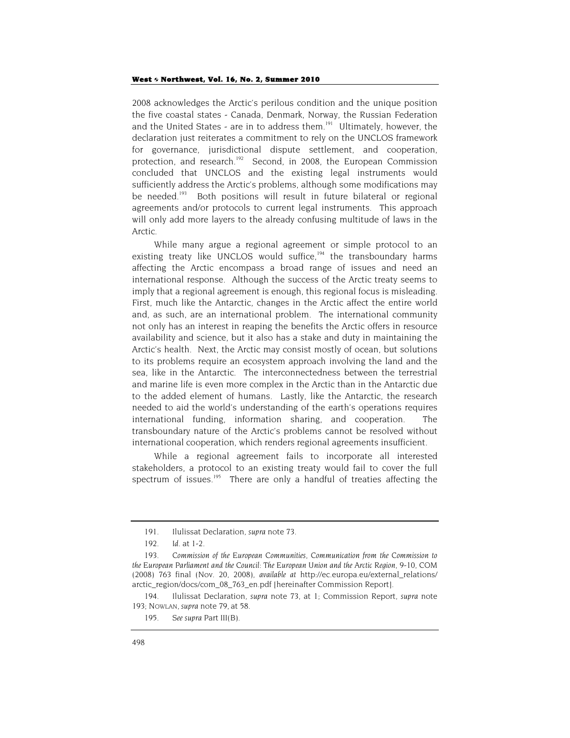2008 acknowledges the Arctic's perilous condition and the unique position the five coastal states - Canada, Denmark, Norway, the Russian Federation and the United States - are in to address them.<sup>191</sup> Ultimately, however, the declaration just reiterates a commitment to rely on the UNCLOS framework for governance, jurisdictional dispute settlement, and cooperation, protection, and research.<sup>192</sup> Second, in 2008, the European Commission concluded that UNCLOS and the existing legal instruments would sufficiently address the Arctic's problems, although some modifications may be needed.<sup>193</sup> Both positions will result in future bilateral or regional agreements and/or protocols to current legal instruments. This approach will only add more layers to the already confusing multitude of laws in the Arctic.

While many argue a regional agreement or simple protocol to an existing treaty like UNCLOS would suffice,<sup>194</sup> the transboundary harms affecting the Arctic encompass a broad range of issues and need an international response. Although the success of the Arctic treaty seems to imply that a regional agreement is enough, this regional focus is misleading. First, much like the Antarctic, changes in the Arctic affect the entire world and, as such, are an international problem. The international community not only has an interest in reaping the benefits the Arctic offers in resource availability and science, but it also has a stake and duty in maintaining the Arctic's health. Next, the Arctic may consist mostly of ocean, but solutions to its problems require an ecosystem approach involving the land and the sea, like in the Antarctic. The interconnectedness between the terrestrial and marine life is even more complex in the Arctic than in the Antarctic due to the added element of humans. Lastly, like the Antarctic, the research needed to aid the world's understanding of the earth's operations requires international funding, information sharing, and cooperation. The transboundary nature of the Arctic's problems cannot be resolved without international cooperation, which renders regional agreements insufficient.

While a regional agreement fails to incorporate all interested stakeholders, a protocol to an existing treaty would fail to cover the full spectrum of issues.<sup>195</sup> There are only a handful of treaties affecting the

<sup>191.</sup> Ilulissat Declaration, *supra* note 73.

<sup>192</sup>*. Id.* at 1-2.

<sup>193</sup>*. Commission of the European Communities*, *Communication from the Commission to the European Parliament and the Council: The European Union and the Arctic Region*, 9-10, COM (2008) 763 final (Nov. 20, 2008), *available at* http://ec.europa.eu/external\_relations/ arctic\_region/docs/com\_08\_763\_en.pdf [hereinafter Commission Report].

<sup>194.</sup> Ilulissat Declaration, *supra* note 73, at 1; Commission Report, *supra* note 193; NOWLAN, *supra* note 79, at 58.

<sup>195</sup>*. See supra* Part III(B).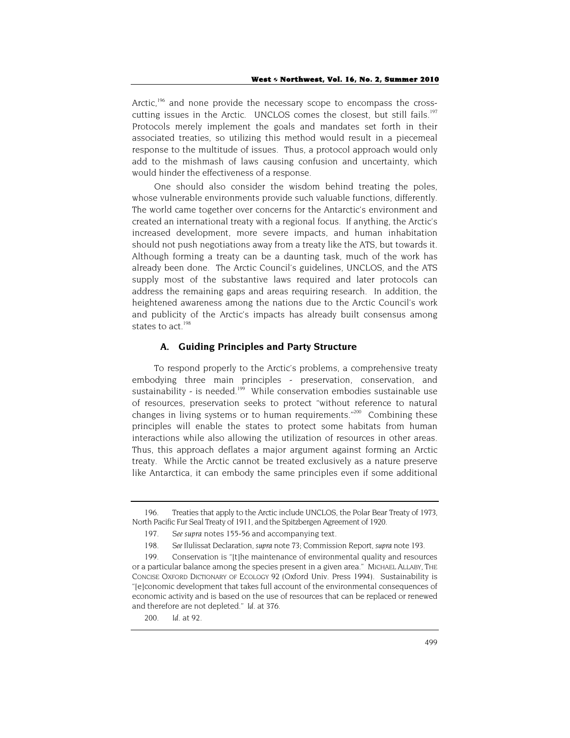Arctic,<sup>196</sup> and none provide the necessary scope to encompass the crosscutting issues in the Arctic. UNCLOS comes the closest, but still fails.<sup>197</sup> Protocols merely implement the goals and mandates set forth in their associated treaties, so utilizing this method would result in a piecemeal response to the multitude of issues. Thus, a protocol approach would only add to the mishmash of laws causing confusion and uncertainty, which would hinder the effectiveness of a response.

One should also consider the wisdom behind treating the poles, whose vulnerable environments provide such valuable functions, differently. The world came together over concerns for the Antarctic's environment and created an international treaty with a regional focus. If anything, the Arctic's increased development, more severe impacts, and human inhabitation should not push negotiations away from a treaty like the ATS, but towards it. Although forming a treaty can be a daunting task, much of the work has already been done. The Arctic Council's guidelines, UNCLOS, and the ATS supply most of the substantive laws required and later protocols can address the remaining gaps and areas requiring research. In addition, the heightened awareness among the nations due to the Arctic Council's work and publicity of the Arctic's impacts has already built consensus among states to act.<sup>198</sup>

# **A. Guiding Principles and Party Structure**

To respond properly to the Arctic's problems, a comprehensive treaty embodying three main principles - preservation, conservation, and sustainability - is needed.<sup>199</sup> While conservation embodies sustainable use of resources, preservation seeks to protect "without reference to natural changes in living systems or to human requirements."<sup>200</sup> Combining these principles will enable the states to protect some habitats from human interactions while also allowing the utilization of resources in other areas. Thus, this approach deflates a major argument against forming an Arctic treaty. While the Arctic cannot be treated exclusively as a nature preserve like Antarctica, it can embody the same principles even if some additional

<sup>196.</sup> Treaties that apply to the Arctic include UNCLOS, the Polar Bear Treaty of 1973, North Pacific Fur Seal Treaty of 1911, and the Spitzbergen Agreement of 1920.

<sup>197</sup>*. See supra* notes 155-56 and accompanying text.

<sup>198</sup>*. See* Ilulissat Declaration, *supra* note 73; Commission Report, *supra* note 193.

<sup>199.</sup> Conservation is "[t]he maintenance of environmental quality and resources or a particular balance among the species present in a given area." MICHAEL ALLABY, THE CONCISE OXFORD DICTIONARY OF ECOLOGY 92 (Oxford Univ. Press 1994). Sustainability is "[e]conomic development that takes full account of the environmental consequences of economic activity and is based on the use of resources that can be replaced or renewed and therefore are not depleted." *Id.* at 376.

<sup>200</sup>*. Id.* at 92.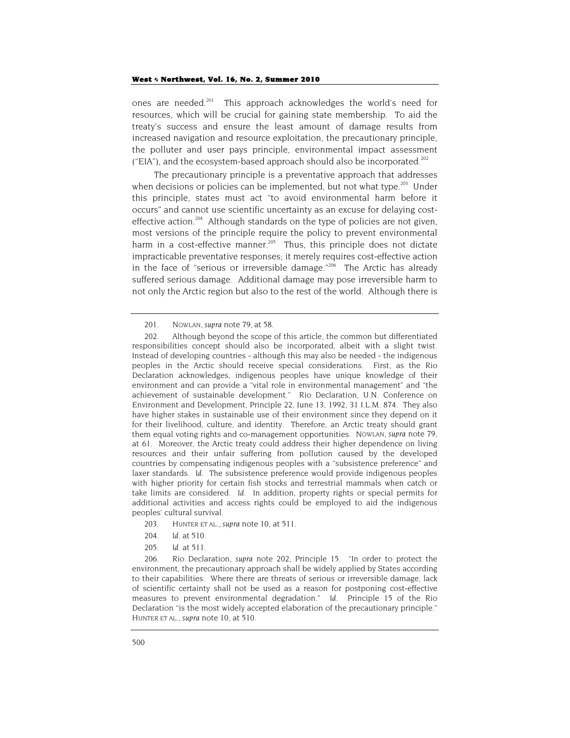ones are needed.<sup>201</sup> This approach acknowledges the world's need for resources, which will be crucial for gaining state membership. To aid the treaty's success and ensure the least amount of damage results from increased navigation and resource exploitation, the precautionary principle, the polluter and user pays principle, environmental impact assessment ("EIA"), and the ecosystem-based approach should also be incorporated.<sup>202</sup>

The precautionary principle is a preventative approach that addresses when decisions or policies can be implemented, but not what type. $203$  Under this principle, states must act "to avoid environmental harm before it occurs" and cannot use scientific uncertainty as an excuse for delaying costeffective action.<sup>204</sup> Although standards on the type of policies are not given, most versions of the principle require the policy to prevent environmental harm in a cost-effective manner.<sup>205</sup> Thus, this principle does not dictate impracticable preventative responses; it merely requires cost-effective action in the face of "serious or irreversible damage."<sup>206</sup> The Arctic has already suffered serious damage. Additional damage may pose irreversible harm to not only the Arctic region but also to the rest of the world. Although there is

- 203. HUNTER ET AL., *supra* note 10, at 511.
- 204*. Id.* at 510.
- 205*. Id.* at 511.

206. Rio Declaration, *supra* note 202, Principle 15. "In order to protect the environment, the precautionary approach shall be widely applied by States according to their capabilities. Where there are threats of serious or irreversible damage, lack of scientific certainty shall not be used as a reason for postponing cost-effective measures to prevent environmental degradation." *Id.* Principle 15 of the Rio Declaration "is the most widely accepted elaboration of the precautionary principle." HUNTER ET AL., *supra* note 10, at 510.

<sup>201.</sup> NOWLAN, *supra* note 79, at 58.

<sup>202.</sup> Although beyond the scope of this article, the common but differentiated responsibilities concept should also be incorporated, albeit with a slight twist. Instead of developing countries - although this may also be needed - the indigenous peoples in the Arctic should receive special considerations. First, as the Rio Declaration acknowledges, indigenous peoples have unique knowledge of their environment and can provide a "vital role in environmental management" and "the achievement of sustainable development." Rio Declaration, U.N. Conference on Environment and Development, Principle 22, June 13, 1992, 31 I.L.M. 874. They also have higher stakes in sustainable use of their environment since they depend on it for their livelihood, culture, and identity. Therefore, an Arctic treaty should grant them equal voting rights and co-management opportunities. NOWLAN, *supra* note 79, at 61. Moreover, the Arctic treaty could address their higher dependence on living resources and their unfair suffering from pollution caused by the developed countries by compensating indigenous peoples with a "subsistence preference" and laxer standards. *Id.* The subsistence preference would provide indigenous peoples with higher priority for certain fish stocks and terrestrial mammals when catch or take limits are considered. *Id.* In addition, property rights or special permits for additional activities and access rights could be employed to aid the indigenous peoples' cultural survival.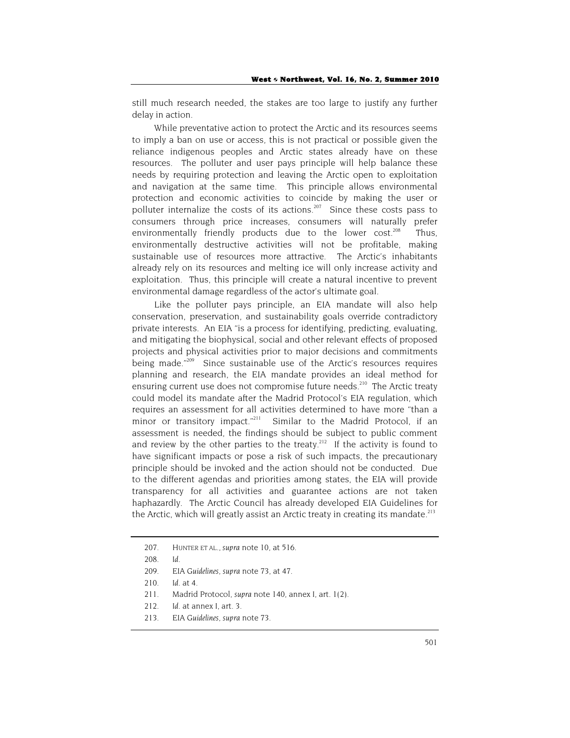still much research needed, the stakes are too large to justify any further delay in action.

While preventative action to protect the Arctic and its resources seems to imply a ban on use or access, this is not practical or possible given the reliance indigenous peoples and Arctic states already have on these resources. The polluter and user pays principle will help balance these needs by requiring protection and leaving the Arctic open to exploitation and navigation at the same time. This principle allows environmental protection and economic activities to coincide by making the user or polluter internalize the costs of its actions.<sup>207</sup> Since these costs pass to consumers through price increases, consumers will naturally prefer environmentally friendly products due to the lower  $cost.^{208}$  Thus, environmentally destructive activities will not be profitable, making sustainable use of resources more attractive. The Arctic's inhabitants already rely on its resources and melting ice will only increase activity and exploitation. Thus, this principle will create a natural incentive to prevent environmental damage regardless of the actor's ultimate goal.

Like the polluter pays principle, an EIA mandate will also help conservation, preservation, and sustainability goals override contradictory private interests. An EIA "is a process for identifying, predicting, evaluating, and mitigating the biophysical, social and other relevant effects of proposed projects and physical activities prior to major decisions and commitments being made.<sup>"209</sup> Since sustainable use of the Arctic's resources requires planning and research, the EIA mandate provides an ideal method for ensuring current use does not compromise future needs.<sup>210</sup> The Arctic treatv could model its mandate after the Madrid Protocol's EIA regulation, which requires an assessment for all activities determined to have more "than a minor or transitory impact."<sup>211</sup> Similar to the Madrid Protocol, if an assessment is needed, the findings should be subject to public comment and review by the other parties to the treaty.<sup>212</sup> If the activity is found to have significant impacts or pose a risk of such impacts, the precautionary principle should be invoked and the action should not be conducted. Due to the different agendas and priorities among states, the EIA will provide transparency for all activities and guarantee actions are not taken haphazardly. The Arctic Council has already developed EIA Guidelines for the Arctic, which will greatly assist an Arctic treaty in creating its mandate.<sup>213</sup>

<sup>207.</sup> HUNTER ET AL., *supra* note 10, at 516.

<sup>208</sup>*. Id.*

<sup>209.</sup> *EIA Guidelines*, *supra* note 73, at 47.

<sup>210</sup>*. Id.* at 4.

<sup>211.</sup> Madrid Protocol, *supra* note 140, annex I, art. 1(2).

<sup>212</sup>*. Id.* at annex I, art. 3.

<sup>213.</sup> *EIA Guidelines*, *supra* note 73.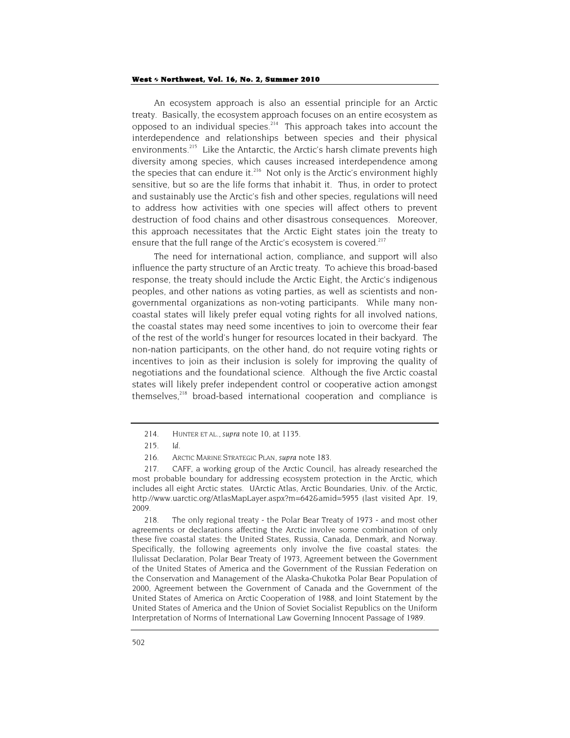An ecosystem approach is also an essential principle for an Arctic treaty. Basically, the ecosystem approach focuses on an entire ecosystem as opposed to an individual species.<sup>214</sup> This approach takes into account the interdependence and relationships between species and their physical environments.<sup>215</sup> Like the Antarctic, the Arctic's harsh climate prevents high diversity among species, which causes increased interdependence among the species that can endure it. $216$  Not only is the Arctic's environment highly sensitive, but so are the life forms that inhabit it. Thus, in order to protect and sustainably use the Arctic's fish and other species, regulations will need to address how activities with one species will affect others to prevent destruction of food chains and other disastrous consequences. Moreover, this approach necessitates that the Arctic Eight states join the treaty to ensure that the full range of the Arctic's ecosystem is covered.<sup>217</sup>

The need for international action, compliance, and support will also influence the party structure of an Arctic treaty. To achieve this broad-based response, the treaty should include the Arctic Eight, the Arctic's indigenous peoples, and other nations as voting parties, as well as scientists and nongovernmental organizations as non-voting participants. While many noncoastal states will likely prefer equal voting rights for all involved nations, the coastal states may need some incentives to join to overcome their fear of the rest of the world's hunger for resources located in their backyard. The non-nation participants, on the other hand, do not require voting rights or incentives to join as their inclusion is solely for improving the quality of negotiations and the foundational science. Although the five Arctic coastal states will likely prefer independent control or cooperative action amongst themselves,<sup>218</sup> broad-based international cooperation and compliance is

218. The only regional treaty - the Polar Bear Treaty of 1973 - and most other agreements or declarations affecting the Arctic involve some combination of only these five coastal states: the United States, Russia, Canada, Denmark, and Norway. Specifically, the following agreements only involve the five coastal states: the Ilulissat Declaration, Polar Bear Treaty of 1973, Agreement between the Government of the United States of America and the Government of the Russian Federation on the Conservation and Management of the Alaska-Chukotka Polar Bear Population of 2000, Agreement between the Government of Canada and the Government of the United States of America on Arctic Cooperation of 1988, and Joint Statement by the United States of America and the Union of Soviet Socialist Republics on the Uniform Interpretation of Norms of International Law Governing Innocent Passage of 1989.

<sup>214.</sup> HUNTER ET AL., *supra* note 10, at 1135.

<sup>215</sup>*. Id.*

<sup>216.</sup> ARCTIC MARINE STRATEGIC PLAN, *supra* note 183.

<sup>217.</sup> CAFF, a working group of the Arctic Council, has already researched the most probable boundary for addressing ecosystem protection in the Arctic, which includes all eight Arctic states. UArctic Atlas, Arctic Boundaries, Univ. of the Arctic, http://www.uarctic.org/AtlasMapLayer.aspx?m=642&amid=5955 (last visited Apr. 19, 2009.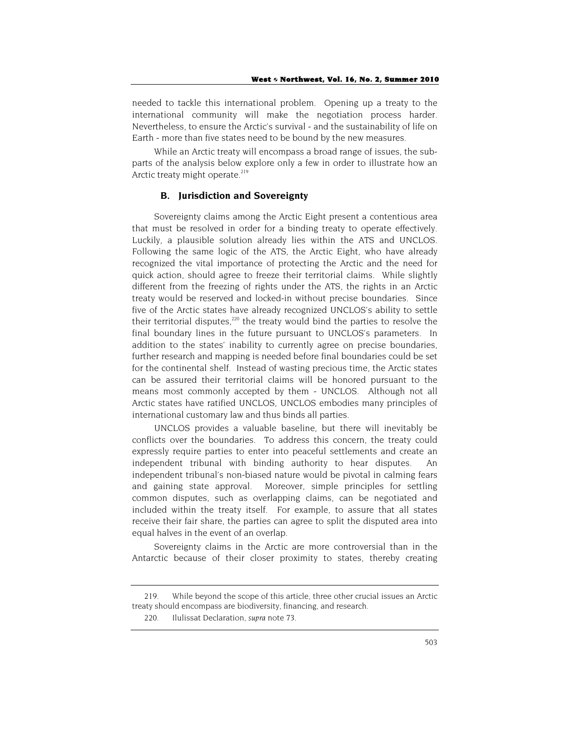needed to tackle this international problem. Opening up a treaty to the international community will make the negotiation process harder. Nevertheless, to ensure the Arctic's survival - and the sustainability of life on Earth - more than five states need to be bound by the new measures.

While an Arctic treaty will encompass a broad range of issues, the subparts of the analysis below explore only a few in order to illustrate how an Arctic treaty might operate. $219$ 

# **B. Jurisdiction and Sovereignty**

Sovereignty claims among the Arctic Eight present a contentious area that must be resolved in order for a binding treaty to operate effectively. Luckily, a plausible solution already lies within the ATS and UNCLOS. Following the same logic of the ATS, the Arctic Eight, who have already recognized the vital importance of protecting the Arctic and the need for quick action, should agree to freeze their territorial claims. While slightly different from the freezing of rights under the ATS, the rights in an Arctic treaty would be reserved and locked-in without precise boundaries. Since five of the Arctic states have already recognized UNCLOS's ability to settle their territorial disputes, $220$  the treaty would bind the parties to resolve the final boundary lines in the future pursuant to UNCLOS's parameters. In addition to the states' inability to currently agree on precise boundaries, further research and mapping is needed before final boundaries could be set for the continental shelf. Instead of wasting precious time, the Arctic states can be assured their territorial claims will be honored pursuant to the means most commonly accepted by them - UNCLOS. Although not all Arctic states have ratified UNCLOS, UNCLOS embodies many principles of international customary law and thus binds all parties.

UNCLOS provides a valuable baseline, but there will inevitably be conflicts over the boundaries. To address this concern, the treaty could expressly require parties to enter into peaceful settlements and create an independent tribunal with binding authority to hear disputes. An independent tribunal's non-biased nature would be pivotal in calming fears and gaining state approval. Moreover, simple principles for settling common disputes, such as overlapping claims, can be negotiated and included within the treaty itself. For example, to assure that all states receive their fair share, the parties can agree to split the disputed area into equal halves in the event of an overlap.

Sovereignty claims in the Arctic are more controversial than in the Antarctic because of their closer proximity to states, thereby creating

<sup>219.</sup> While beyond the scope of this article, three other crucial issues an Arctic treaty should encompass are biodiversity, financing, and research.

<sup>220.</sup> Ilulissat Declaration, *supra* note 73.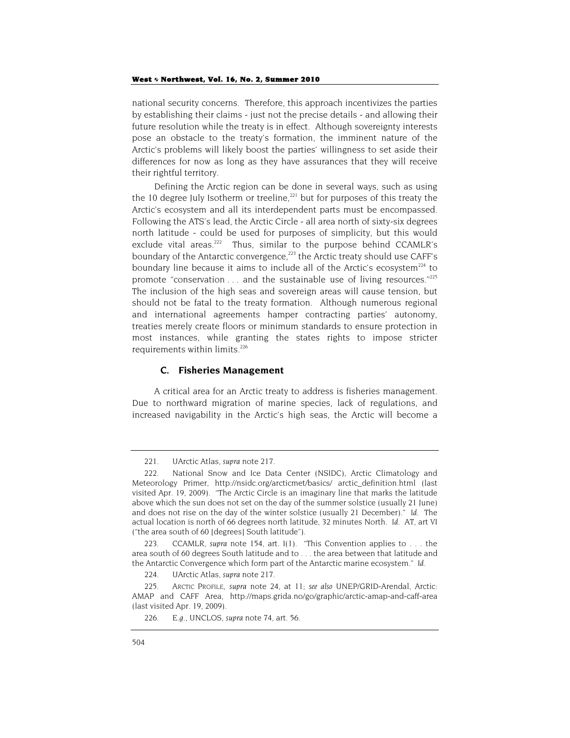national security concerns. Therefore, this approach incentivizes the parties by establishing their claims - just not the precise details - and allowing their future resolution while the treaty is in effect. Although sovereignty interests pose an obstacle to the treaty's formation, the imminent nature of the Arctic's problems will likely boost the parties' willingness to set aside their differences for now as long as they have assurances that they will receive their rightful territory.

Defining the Arctic region can be done in several ways, such as using the 10 degree July Isotherm or treeline, $221$  but for purposes of this treaty the Arctic's ecosystem and all its interdependent parts must be encompassed. Following the ATS's lead, the Arctic Circle - all area north of sixty-six degrees north latitude - could be used for purposes of simplicity, but this would exclude vital areas. $222$  Thus, similar to the purpose behind CCAMLR's boundary of the Antarctic convergence, $^{223}$  the Arctic treaty should use CAFF's boundary line because it aims to include all of the Arctic's ecosystem<sup>224</sup> to promote "conservation . . . and the sustainable use of living resources."225 The inclusion of the high seas and sovereign areas will cause tension, but should not be fatal to the treaty formation. Although numerous regional and international agreements hamper contracting parties' autonomy, treaties merely create floors or minimum standards to ensure protection in most instances, while granting the states rights to impose stricter requirements within limits.<sup>226</sup>

# **C. Fisheries Management**

A critical area for an Arctic treaty to address is fisheries management. Due to northward migration of marine species, lack of regulations, and increased navigability in the Arctic's high seas, the Arctic will become a

<sup>221.</sup> UArctic Atlas, *supra* note 217.

<sup>222.</sup> National Snow and Ice Data Center (NSIDC), Arctic Climatology and Meteorology Primer, http://nsidc.org/arcticmet/basics/ arctic\_definition.html (last visited Apr. 19, 2009). "The Arctic Circle is an imaginary line that marks the latitude above which the sun does not set on the day of the summer solstice (usually 21 June) and does not rise on the day of the winter solstice (usually 21 December)." *Id.* The actual location is north of 66 degrees north latitude, 32 minutes North. *Id.* AT, art VI ("the area south of 60 [degrees] South latitude").

<sup>223.</sup> CCAMLR, *supra* note 154, art. I(1). "This Convention applies to . . . the area south of 60 degrees South latitude and to . . . the area between that latitude and the Antarctic Convergence which form part of the Antarctic marine ecosystem." *Id.* 

<sup>224.</sup> UArctic Atlas, *supra* note 217.

<sup>225.</sup> ARCTIC PROFILE, *supra* note 24, at 11*; see also* UNEP/GRID-Arendal, Arctic: AMAP and CAFF Area, http://maps.grida.no/go/graphic/arctic-amap-and-caff-area (last visited Apr. 19, 2009).

<sup>226</sup>*. E.g.,* UNCLOS, *supra* note 74, art. 56.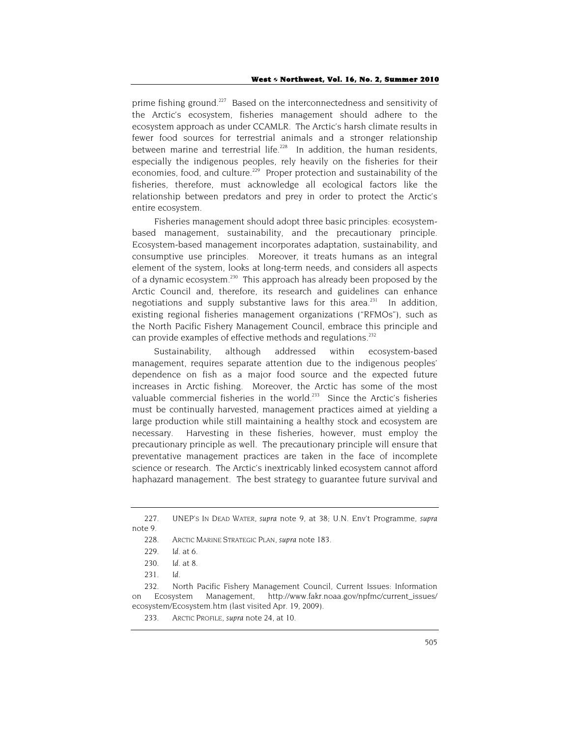prime fishing ground.<sup>227</sup> Based on the interconnectedness and sensitivity of the Arctic's ecosystem, fisheries management should adhere to the ecosystem approach as under CCAMLR. The Arctic's harsh climate results in fewer food sources for terrestrial animals and a stronger relationship between marine and terrestrial life.<sup>228</sup> In addition, the human residents, especially the indigenous peoples, rely heavily on the fisheries for their economies, food, and culture.<sup>229</sup> Proper protection and sustainability of the fisheries, therefore, must acknowledge all ecological factors like the relationship between predators and prey in order to protect the Arctic's entire ecosystem.

Fisheries management should adopt three basic principles: ecosystembased management, sustainability, and the precautionary principle. Ecosystem-based management incorporates adaptation, sustainability, and consumptive use principles. Moreover, it treats humans as an integral element of the system, looks at long-term needs, and considers all aspects of a dynamic ecosystem.<sup>230</sup> This approach has already been proposed by the Arctic Council and, therefore, its research and guidelines can enhance negotiations and supply substantive laws for this area.<sup>231</sup> In addition, existing regional fisheries management organizations ("RFMOs"), such as the North Pacific Fishery Management Council, embrace this principle and can provide examples of effective methods and regulations.<sup>232</sup>

Sustainability, although addressed within ecosystem-based management, requires separate attention due to the indigenous peoples' dependence on fish as a major food source and the expected future increases in Arctic fishing. Moreover, the Arctic has some of the most valuable commercial fisheries in the world.<sup>233</sup> Since the Arctic's fisheries must be continually harvested, management practices aimed at yielding a large production while still maintaining a healthy stock and ecosystem are necessary. Harvesting in these fisheries, however, must employ the precautionary principle as well. The precautionary principle will ensure that preventative management practices are taken in the face of incomplete science or research. The Arctic's inextricably linked ecosystem cannot afford haphazard management. The best strategy to guarantee future survival and

<sup>227.</sup> UNEP'S IN DEAD WATER, *supra* note 9, at 38; U.N. Env't Programme, *supra* note 9.

<sup>228.</sup> ARCTIC MARINE STRATEGIC PLAN, *supra* note 183.

<sup>229</sup>*. Id.* at 6.

<sup>230</sup>*. Id.* at 8.

<sup>231</sup>*. Id.*

<sup>232.</sup> North Pacific Fishery Management Council, Current Issues: Information on Ecosystem Management, http://www.fakr.noaa.gov/npfmc/current\_issues/ ecosystem/Ecosystem.htm (last visited Apr. 19, 2009).

<sup>233.</sup> ARCTIC PROFILE, *supra* note 24, at 10.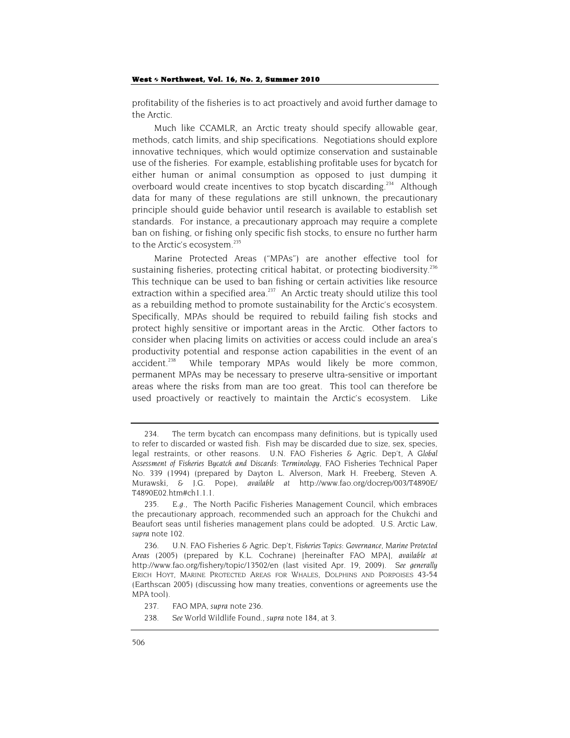profitability of the fisheries is to act proactively and avoid further damage to the Arctic.

Much like CCAMLR, an Arctic treaty should specify allowable gear, methods, catch limits, and ship specifications. Negotiations should explore innovative techniques, which would optimize conservation and sustainable use of the fisheries. For example, establishing profitable uses for bycatch for either human or animal consumption as opposed to just dumping it overboard would create incentives to stop bycatch discarding.<sup>234</sup> Although data for many of these regulations are still unknown, the precautionary principle should guide behavior until research is available to establish set standards. For instance, a precautionary approach may require a complete ban on fishing, or fishing only specific fish stocks, to ensure no further harm to the Arctic's ecosystem.<sup>235</sup>

Marine Protected Areas ("MPAs") are another effective tool for sustaining fisheries, protecting critical habitat, or protecting biodiversity.<sup>236</sup> This technique can be used to ban fishing or certain activities like resource extraction within a specified area. $237$  An Arctic treaty should utilize this tool as a rebuilding method to promote sustainability for the Arctic's ecosystem. Specifically, MPAs should be required to rebuild failing fish stocks and protect highly sensitive or important areas in the Arctic. Other factors to consider when placing limits on activities or access could include an area's productivity potential and response action capabilities in the event of an accident.<sup>238</sup> While temporary MPAs would likely be more common, permanent MPAs may be necessary to preserve ultra-sensitive or important areas where the risks from man are too great. This tool can therefore be used proactively or reactively to maintain the Arctic's ecosystem. Like

<sup>234.</sup> The term bycatch can encompass many definitions, but is typically used to refer to discarded or wasted fish. Fish may be discarded due to size, sex, species, legal restraints, or other reasons. U.N. FAO Fisheries & Agric. Dep't, *A Global Assessment of Fisheries Bycatch and Discards*: *Terminology*, FAO Fisheries Technical Paper No. 339 (1994) (prepared by Dayton L. Alverson, Mark H. Freeberg, Steven A. Murawski, & J.G. Pope), *available at* http://www.fao.org/docrep/003/T4890E/ T4890E02.htm#ch1.1.1.

<sup>235</sup>*. E.g.*, The North Pacific Fisheries Management Council, which embraces the precautionary approach, recommended such an approach for the Chukchi and Beaufort seas until fisheries management plans could be adopted. U.S. Arctic Law, *supra* note 102.

<sup>236.</sup> U.N. FAO Fisheries & Agric. Dep't, *Fisheries Topics: Governance, Marine Protected Areas* (2005) (prepared by K.L. Cochrane) [hereinafter FAO MPA], *available at*  http://www.fao.org/fishery/topic/13502/en (last visited Apr. 19, 2009). *See generally*  ERICH HOYT, MARINE PROTECTED AREAS FOR WHALES, DOLPHINS AND PORPOISES 43-54 (Earthscan 2005) (discussing how many treaties, conventions or agreements use the MPA tool).

<sup>237.</sup> FAO MPA, *supra* note 236.

<sup>238</sup>*. See* World Wildlife Found., *supra* note 184, at 3.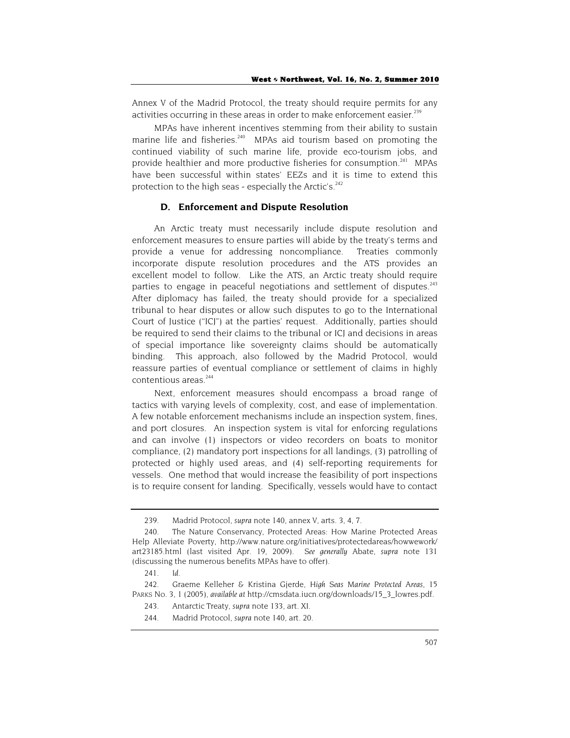Annex V of the Madrid Protocol, the treaty should require permits for any activities occurring in these areas in order to make enforcement easier.<sup>239</sup>

MPAs have inherent incentives stemming from their ability to sustain marine life and fisheries.<sup>240</sup> MPAs aid tourism based on promoting the continued viability of such marine life, provide eco-tourism jobs, and provide healthier and more productive fisheries for consumption.<sup>241</sup> MPAs have been successful within states' EEZs and it is time to extend this protection to the high seas - especially the Arctic's. $242$ 

# **D. Enforcement and Dispute Resolution**

An Arctic treaty must necessarily include dispute resolution and enforcement measures to ensure parties will abide by the treaty's terms and provide a venue for addressing noncompliance. Treaties commonly incorporate dispute resolution procedures and the ATS provides an excellent model to follow. Like the ATS, an Arctic treaty should require parties to engage in peaceful negotiations and settlement of disputes.<sup>243</sup> After diplomacy has failed, the treaty should provide for a specialized tribunal to hear disputes or allow such disputes to go to the International Court of Justice ("ICJ") at the parties' request. Additionally, parties should be required to send their claims to the tribunal or ICJ and decisions in areas of special importance like sovereignty claims should be automatically binding. This approach, also followed by the Madrid Protocol, would reassure parties of eventual compliance or settlement of claims in highly contentious areas.<sup>244</sup>

Next, enforcement measures should encompass a broad range of tactics with varying levels of complexity, cost, and ease of implementation. A few notable enforcement mechanisms include an inspection system, fines, and port closures. An inspection system is vital for enforcing regulations and can involve (1) inspectors or video recorders on boats to monitor compliance, (2) mandatory port inspections for all landings, (3) patrolling of protected or highly used areas, and (4) self-reporting requirements for vessels. One method that would increase the feasibility of port inspections is to require consent for landing. Specifically, vessels would have to contact

<sup>239.</sup> Madrid Protocol, *supra* note 140, annex V, arts. 3, 4, 7.

<sup>240.</sup> The Nature Conservancy, Protected Areas: How Marine Protected Areas Help Alleviate Poverty, http://www.nature.org/initiatives/protectedareas/howwework/ art23185.html (last visited Apr. 19, 2009). *See generally* Abate, *supra* note 131 (discussing the numerous benefits MPAs have to offer).

<sup>241</sup>*. Id.*

<sup>242.</sup> Graeme Kelleher & Kristina Gjerde, *High Seas Marine Protected Areas*, 15 PARKS No. 3, 1 (2005), *available at* http://cmsdata.iucn.org/downloads/15\_3\_lowres.pdf.

<sup>243.</sup> Antarctic Treaty, *supra* note 133, art. XI.

<sup>244.</sup> Madrid Protocol, *supra* note 140, art. 20.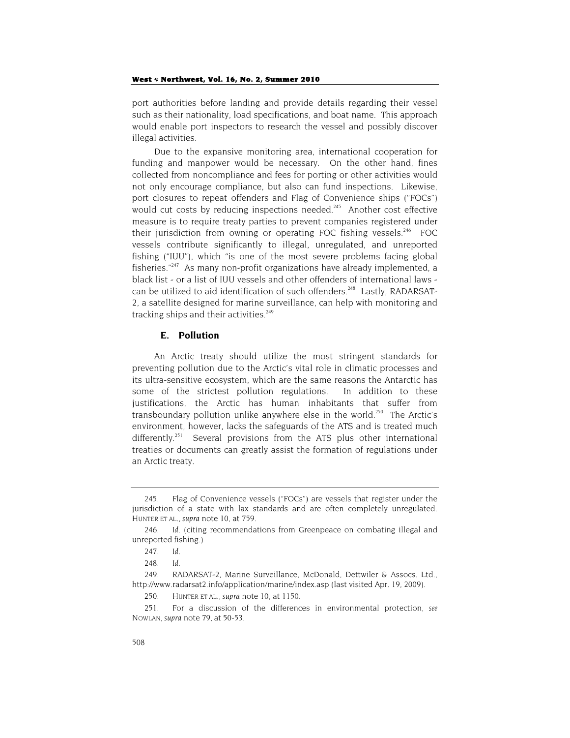port authorities before landing and provide details regarding their vessel such as their nationality, load specifications, and boat name. This approach would enable port inspectors to research the vessel and possibly discover illegal activities.

Due to the expansive monitoring area, international cooperation for funding and manpower would be necessary. On the other hand, fines collected from noncompliance and fees for porting or other activities would not only encourage compliance, but also can fund inspections. Likewise, port closures to repeat offenders and Flag of Convenience ships ("FOCs") would cut costs by reducing inspections needed.<sup>245</sup> Another cost effective measure is to require treaty parties to prevent companies registered under their jurisdiction from owning or operating FOC fishing vessels. $246$  FOC vessels contribute significantly to illegal, unregulated, and unreported fishing ("IUU"), which "is one of the most severe problems facing global fisheries."247 As many non-profit organizations have already implemented, a black list - or a list of IUU vessels and other offenders of international laws can be utilized to aid identification of such offenders.<sup>248</sup> Lastly, RADARSAT-2, a satellite designed for marine surveillance, can help with monitoring and tracking ships and their activities.<sup>249</sup>

# **E. Pollution**

An Arctic treaty should utilize the most stringent standards for preventing pollution due to the Arctic's vital role in climatic processes and its ultra-sensitive ecosystem, which are the same reasons the Antarctic has some of the strictest pollution regulations. In addition to these justifications, the Arctic has human inhabitants that suffer from transboundary pollution unlike anywhere else in the world.<sup>250</sup> The Arctic's environment, however, lacks the safeguards of the ATS and is treated much differently.<sup>251</sup> Several provisions from the ATS plus other international treaties or documents can greatly assist the formation of regulations under an Arctic treaty.

<sup>245.</sup> Flag of Convenience vessels ("FOCs") are vessels that register under the jurisdiction of a state with lax standards and are often completely unregulated. HUNTER ET AL., *supra* note 10, at 759.

<sup>246</sup>*. Id.* (citing recommendations from Greenpeace on combating illegal and unreported fishing.)

<sup>247</sup>*. Id.*

<sup>248</sup>*. Id.*

<sup>249.</sup> RADARSAT-2, Marine Surveillance, McDonald, Dettwiler & Assocs. Ltd., http://www.radarsat2.info/application/marine/index.asp (last visited Apr. 19, 2009).

<sup>250.</sup> HUNTER ET AL., *supra* note 10, at 1150.

<sup>251.</sup> For a discussion of the differences in environmental protection, *see* NOWLAN, *supra* note 79, at 50-53.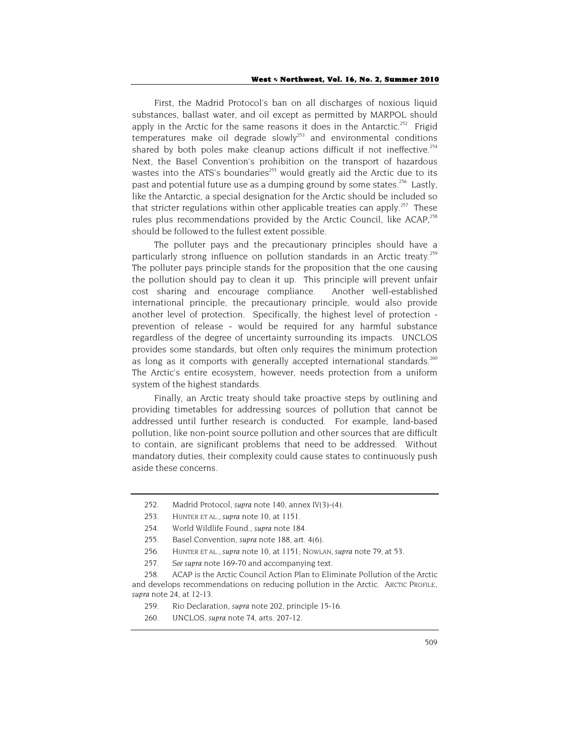First, the Madrid Protocol's ban on all discharges of noxious liquid substances, ballast water, and oil except as permitted by MARPOL should apply in the Arctic for the same reasons it does in the Antarctic.<sup>252</sup> Frigid temperatures make oil degrade slowly $253$  and environmental conditions shared by both poles make cleanup actions difficult if not ineffective.<sup>254</sup> Next, the Basel Convention's prohibition on the transport of hazardous wastes into the ATS's boundaries<sup>255</sup> would greatly aid the Arctic due to its past and potential future use as a dumping ground by some states.<sup>256</sup> Lastly, like the Antarctic, a special designation for the Arctic should be included so that stricter regulations within other applicable treaties can apply.<sup>257</sup> These rules plus recommendations provided by the Arctic Council, like ACAP,<sup>258</sup> should be followed to the fullest extent possible.

The polluter pays and the precautionary principles should have a particularly strong influence on pollution standards in an Arctic treaty.<sup>259</sup> The polluter pays principle stands for the proposition that the one causing the pollution should pay to clean it up. This principle will prevent unfair cost sharing and encourage compliance. Another well-established international principle, the precautionary principle, would also provide another level of protection. Specifically, the highest level of protection prevention of release - would be required for any harmful substance regardless of the degree of uncertainty surrounding its impacts. UNCLOS provides some standards, but often only requires the minimum protection as long as it comports with generally accepted international standards.<sup>260</sup> The Arctic's entire ecosystem, however, needs protection from a uniform system of the highest standards.

Finally, an Arctic treaty should take proactive steps by outlining and providing timetables for addressing sources of pollution that cannot be addressed until further research is conducted. For example, land-based pollution, like non-point source pollution and other sources that are difficult to contain, are significant problems that need to be addressed. Without mandatory duties, their complexity could cause states to continuously push aside these concerns.

<sup>252.</sup> Madrid Protocol, *supra* note 140, annex IV(3)-(4).

<sup>253.</sup> HUNTER ET AL., *supra* note 10, at 1151.

<sup>254.</sup> World Wildlife Found., *supra* note 184.

<sup>255.</sup> Basel Convention, *supra* note 188, art. 4(6).

<sup>256.</sup> HUNTER ET AL., *supra* note 10, at 1151; NOWLAN, *supra* note 79, at 53.

<sup>257</sup>*. See supra* note 169-70 and accompanying text.

<sup>258.</sup> ACAP is the Arctic Council Action Plan to Eliminate Pollution of the Arctic and develops recommendations on reducing pollution in the Arctic. ARCTIC PROFILE, *supra* note 24, at 12-13.

<sup>259.</sup> Rio Declaration, *supra* note 202, principle 15-16.

<sup>260.</sup> UNCLOS, *supra* note 74, arts. 207-12.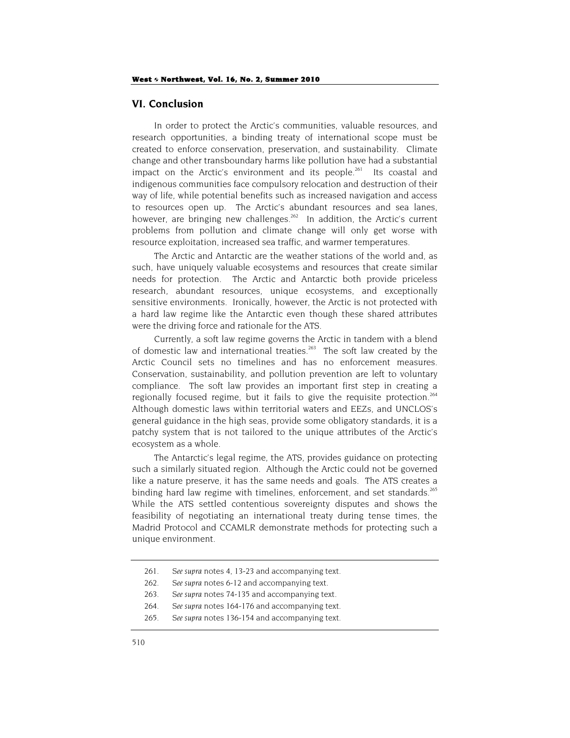# **VI. Conclusion**

In order to protect the Arctic's communities, valuable resources, and research opportunities, a binding treaty of international scope must be created to enforce conservation, preservation, and sustainability. Climate change and other transboundary harms like pollution have had a substantial impact on the Arctic's environment and its people.<sup>261</sup> Its coastal and indigenous communities face compulsory relocation and destruction of their way of life, while potential benefits such as increased navigation and access to resources open up. The Arctic's abundant resources and sea lanes, however, are bringing new challenges.<sup>262</sup> In addition, the Arctic's current problems from pollution and climate change will only get worse with resource exploitation, increased sea traffic, and warmer temperatures.

The Arctic and Antarctic are the weather stations of the world and, as such, have uniquely valuable ecosystems and resources that create similar needs for protection. The Arctic and Antarctic both provide priceless research, abundant resources, unique ecosystems, and exceptionally sensitive environments. Ironically, however, the Arctic is not protected with a hard law regime like the Antarctic even though these shared attributes were the driving force and rationale for the ATS.

Currently, a soft law regime governs the Arctic in tandem with a blend of domestic law and international treaties.<sup>263</sup> The soft law created by the Arctic Council sets no timelines and has no enforcement measures. Conservation, sustainability, and pollution prevention are left to voluntary compliance. The soft law provides an important first step in creating a regionally focused regime, but it fails to give the requisite protection.<sup>264</sup> Although domestic laws within territorial waters and EEZs, and UNCLOS's general guidance in the high seas, provide some obligatory standards, it is a patchy system that is not tailored to the unique attributes of the Arctic's ecosystem as a whole.

The Antarctic's legal regime, the ATS, provides guidance on protecting such a similarly situated region. Although the Arctic could not be governed like a nature preserve, it has the same needs and goals. The ATS creates a binding hard law regime with timelines, enforcement, and set standards.<sup>265</sup> While the ATS settled contentious sovereignty disputes and shows the feasibility of negotiating an international treaty during tense times, the Madrid Protocol and CCAMLR demonstrate methods for protecting such a unique environment.

- 264*. See supra* notes 164-176 and accompanying text.
- 265*. See supra* notes 136-154 and accompanying text.

<sup>261</sup>*. See supra* notes 4, 13-23 and accompanying text.

<sup>262</sup>*. See supra* notes 6-12 and accompanying text.

<sup>263</sup>*. See supra* notes 74-135 and accompanying text.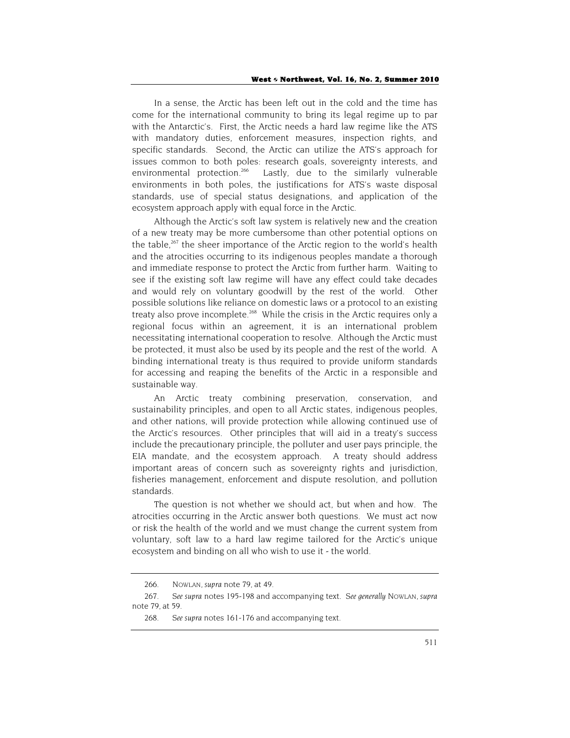In a sense, the Arctic has been left out in the cold and the time has come for the international community to bring its legal regime up to par with the Antarctic's. First, the Arctic needs a hard law regime like the ATS with mandatory duties, enforcement measures, inspection rights, and specific standards. Second, the Arctic can utilize the ATS's approach for issues common to both poles: research goals, sovereignty interests, and environmental protection.<sup>266</sup> Lastly, due to the similarly vulnerable environments in both poles, the justifications for ATS's waste disposal standards, use of special status designations, and application of the ecosystem approach apply with equal force in the Arctic.

Although the Arctic's soft law system is relatively new and the creation of a new treaty may be more cumbersome than other potential options on the table,<sup>267</sup> the sheer importance of the Arctic region to the world's health and the atrocities occurring to its indigenous peoples mandate a thorough and immediate response to protect the Arctic from further harm. Waiting to see if the existing soft law regime will have any effect could take decades and would rely on voluntary goodwill by the rest of the world. Other possible solutions like reliance on domestic laws or a protocol to an existing treaty also prove incomplete.<sup>268</sup> While the crisis in the Arctic requires only a regional focus within an agreement, it is an international problem necessitating international cooperation to resolve. Although the Arctic must be protected, it must also be used by its people and the rest of the world. A binding international treaty is thus required to provide uniform standards for accessing and reaping the benefits of the Arctic in a responsible and sustainable way.

An Arctic treaty combining preservation, conservation, and sustainability principles, and open to all Arctic states, indigenous peoples, and other nations, will provide protection while allowing continued use of the Arctic's resources. Other principles that will aid in a treaty's success include the precautionary principle, the polluter and user pays principle, the EIA mandate, and the ecosystem approach. A treaty should address important areas of concern such as sovereignty rights and jurisdiction, fisheries management, enforcement and dispute resolution, and pollution standards.

The question is not whether we should act, but when and how. The atrocities occurring in the Arctic answer both questions. We must act now or risk the health of the world and we must change the current system from voluntary, soft law to a hard law regime tailored for the Arctic's unique ecosystem and binding on all who wish to use it - the world.

<sup>266.</sup> NOWLAN, *supra* note 79, at 49.

<sup>267</sup>*. See supra* notes 195-198 and accompanying text. *See generally* NOWLAN, *supra* note 79, at 59.

<sup>268</sup>*. See supra* notes 161-176 and accompanying text.